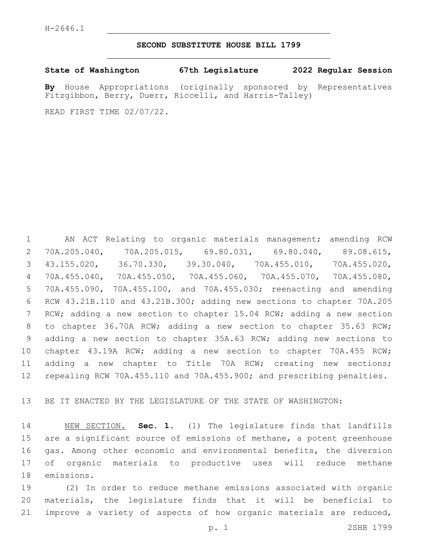#### **SECOND SUBSTITUTE HOUSE BILL 1799**

**State of Washington 67th Legislature 2022 Regular Session**

**By** House Appropriations (originally sponsored by Representatives Fitzgibbon, Berry, Duerr, Riccelli, and Harris-Talley)

READ FIRST TIME 02/07/22.

 AN ACT Relating to organic materials management; amending RCW 70A.205.040, 70A.205.015, 69.80.031, 69.80.040, 89.08.615, 43.155.020, 36.70.330, 39.30.040, 70A.455.010, 70A.455.020, 70A.455.040, 70A.455.050, 70A.455.060, 70A.455.070, 70A.455.080, 70A.455.090, 70A.455.100, and 70A.455.030; reenacting and amending RCW 43.21B.110 and 43.21B.300; adding new sections to chapter 70A.205 RCW; adding a new section to chapter 15.04 RCW; adding a new section 8 to chapter 36.70A RCW; adding a new section to chapter 35.63 RCW; adding a new section to chapter 35A.63 RCW; adding new sections to chapter 43.19A RCW; adding a new section to chapter 70A.455 RCW; adding a new chapter to Title 70A RCW; creating new sections; repealing RCW 70A.455.110 and 70A.455.900; and prescribing penalties.

BE IT ENACTED BY THE LEGISLATURE OF THE STATE OF WASHINGTON:

 NEW SECTION. **Sec. 1.** (1) The legislature finds that landfills are a significant source of emissions of methane, a potent greenhouse gas. Among other economic and environmental benefits, the diversion of organic materials to productive uses will reduce methane emissions.

 (2) In order to reduce methane emissions associated with organic materials, the legislature finds that it will be beneficial to improve a variety of aspects of how organic materials are reduced,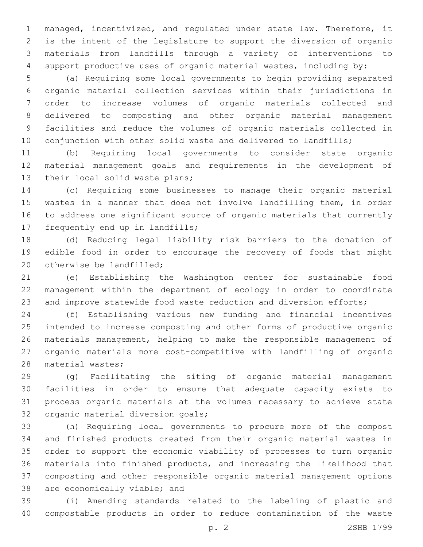managed, incentivized, and regulated under state law. Therefore, it is the intent of the legislature to support the diversion of organic materials from landfills through a variety of interventions to support productive uses of organic material wastes, including by:

 (a) Requiring some local governments to begin providing separated organic material collection services within their jurisdictions in order to increase volumes of organic materials collected and delivered to composting and other organic material management facilities and reduce the volumes of organic materials collected in 10 conjunction with other solid waste and delivered to landfills;

 (b) Requiring local governments to consider state organic material management goals and requirements in the development of 13 their local solid waste plans;

 (c) Requiring some businesses to manage their organic material wastes in a manner that does not involve landfilling them, in order to address one significant source of organic materials that currently 17 frequently end up in landfills;

 (d) Reducing legal liability risk barriers to the donation of edible food in order to encourage the recovery of foods that might 20 otherwise be landfilled:

 (e) Establishing the Washington center for sustainable food management within the department of ecology in order to coordinate 23 and improve statewide food waste reduction and diversion efforts;

 (f) Establishing various new funding and financial incentives intended to increase composting and other forms of productive organic materials management, helping to make the responsible management of organic materials more cost-competitive with landfilling of organic 28 material wastes;

 (g) Facilitating the siting of organic material management facilities in order to ensure that adequate capacity exists to process organic materials at the volumes necessary to achieve state 32 organic material diversion goals;

 (h) Requiring local governments to procure more of the compost and finished products created from their organic material wastes in order to support the economic viability of processes to turn organic materials into finished products, and increasing the likelihood that composting and other responsible organic material management options 38 are economically viable; and

 (i) Amending standards related to the labeling of plastic and compostable products in order to reduce contamination of the waste

p. 2 2SHB 1799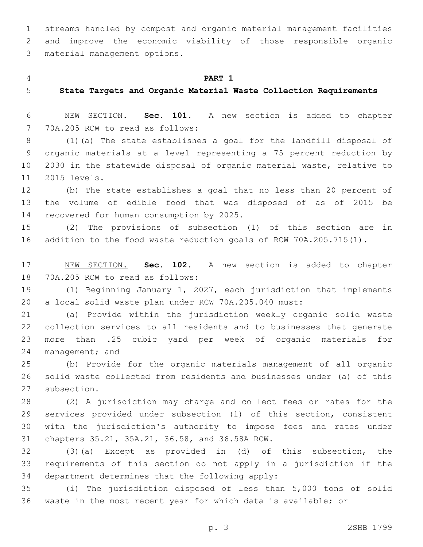streams handled by compost and organic material management facilities and improve the economic viability of those responsible organic 3 material management options.

#### **PART 1**

**State Targets and Organic Material Waste Collection Requirements**

 NEW SECTION. **Sec. 101.** A new section is added to chapter 7 70A.205 RCW to read as follows:

 (1)(a) The state establishes a goal for the landfill disposal of organic materials at a level representing a 75 percent reduction by 2030 in the statewide disposal of organic material waste, relative to 11 2015 levels.

 (b) The state establishes a goal that no less than 20 percent of the volume of edible food that was disposed of as of 2015 be 14 recovered for human consumption by 2025.

 (2) The provisions of subsection (1) of this section are in addition to the food waste reduction goals of RCW 70A.205.715(1).

 NEW SECTION. **Sec. 102.** A new section is added to chapter 18 70A.205 RCW to read as follows:

 (1) Beginning January 1, 2027, each jurisdiction that implements a local solid waste plan under RCW 70A.205.040 must:

 (a) Provide within the jurisdiction weekly organic solid waste collection services to all residents and to businesses that generate more than .25 cubic yard per week of organic materials for 24 management; and

 (b) Provide for the organic materials management of all organic solid waste collected from residents and businesses under (a) of this 27 subsection.

 (2) A jurisdiction may charge and collect fees or rates for the services provided under subsection (1) of this section, consistent with the jurisdiction's authority to impose fees and rates under 31 chapters 35.21, 35A.21, 36.58, and 36.58A RCW.

 (3)(a) Except as provided in (d) of this subsection, the requirements of this section do not apply in a jurisdiction if the 34 department determines that the following apply:

 (i) The jurisdiction disposed of less than 5,000 tons of solid waste in the most recent year for which data is available; or

p. 3 2SHB 1799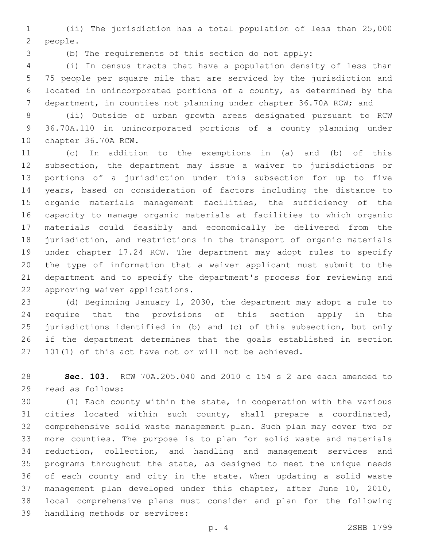(ii) The jurisdiction has a total population of less than 25,000 2 people.

(b) The requirements of this section do not apply:

 (i) In census tracts that have a population density of less than 75 people per square mile that are serviced by the jurisdiction and located in unincorporated portions of a county, as determined by the department, in counties not planning under chapter 36.70A RCW; and

 (ii) Outside of urban growth areas designated pursuant to RCW 36.70A.110 in unincorporated portions of a county planning under 10 chapter 36.70A RCW.

 (c) In addition to the exemptions in (a) and (b) of this subsection, the department may issue a waiver to jurisdictions or portions of a jurisdiction under this subsection for up to five years, based on consideration of factors including the distance to organic materials management facilities, the sufficiency of the capacity to manage organic materials at facilities to which organic materials could feasibly and economically be delivered from the jurisdiction, and restrictions in the transport of organic materials under chapter 17.24 RCW. The department may adopt rules to specify the type of information that a waiver applicant must submit to the department and to specify the department's process for reviewing and 22 approving waiver applications.

 (d) Beginning January 1, 2030, the department may adopt a rule to require that the provisions of this section apply in the jurisdictions identified in (b) and (c) of this subsection, but only if the department determines that the goals established in section 101(1) of this act have not or will not be achieved.

 **Sec. 103.** RCW 70A.205.040 and 2010 c 154 s 2 are each amended to 29 read as follows:

 (1) Each county within the state, in cooperation with the various cities located within such county, shall prepare a coordinated, comprehensive solid waste management plan. Such plan may cover two or more counties. The purpose is to plan for solid waste and materials reduction, collection, and handling and management services and programs throughout the state, as designed to meet the unique needs of each county and city in the state. When updating a solid waste management plan developed under this chapter, after June 10, 2010, local comprehensive plans must consider and plan for the following 39 handling methods or services: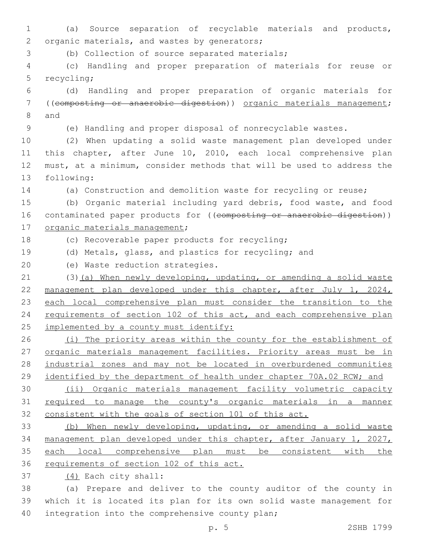1 (a) Source separation of recyclable materials and products, 2 organic materials, and wastes by generators;

3 (b) Collection of source separated materials;

4 (c) Handling and proper preparation of materials for reuse or 5 recycling;

6 (d) Handling and proper preparation of organic materials for 7 ((composting or anaerobic digestion)) organic materials management; 8 and

9 (e) Handling and proper disposal of nonrecyclable wastes.

 (2) When updating a solid waste management plan developed under this chapter, after June 10, 2010, each local comprehensive plan must, at a minimum, consider methods that will be used to address the 13 following:

14 (a) Construction and demolition waste for recycling or reuse;

15 (b) Organic material including yard debris, food waste, and food 16 contaminated paper products for ((composting or anaerobic digestion)) 17 organic materials management;

18 (c) Recoverable paper products for recycling;

19 (d) Metals, glass, and plastics for recycling; and

20 (e) Waste reduction strategies.

21 (3)(a) When newly developing, updating, or amending a solid waste 22 management plan developed under this chapter, after July 1, 2024, 23 each local comprehensive plan must consider the transition to the 24 requirements of section 102 of this act, and each comprehensive plan 25 implemented by a county must identify:

26 (i) The priority areas within the county for the establishment of 27 organic materials management facilities. Priority areas must be in 28 industrial zones and may not be located in overburdened communities 29 identified by the department of health under chapter 70A.02 RCW; and

30 (ii) Organic materials management facility volumetric capacity 31 required to manage the county's organic materials in a manner 32 consistent with the goals of section 101 of this act.

 (b) When newly developing, updating, or amending a solid waste management plan developed under this chapter, after January 1, 2027, each local comprehensive plan must be consistent with the 36 requirements of section 102 of this act.

(4) Each city shall:37

38 (a) Prepare and deliver to the county auditor of the county in 39 which it is located its plan for its own solid waste management for 40 integration into the comprehensive county plan;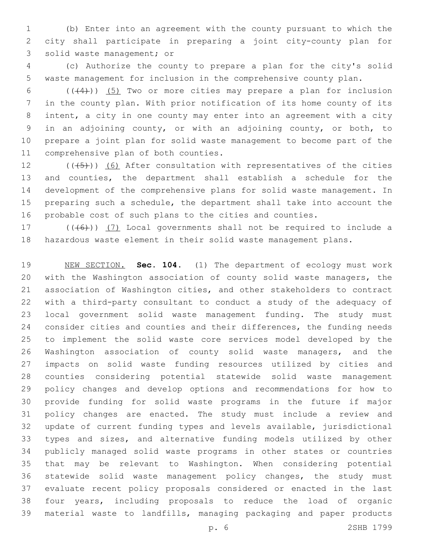(b) Enter into an agreement with the county pursuant to which the city shall participate in preparing a joint city-county plan for 3 solid waste management; or

 (c) Authorize the county to prepare a plan for the city's solid waste management for inclusion in the comprehensive county plan.

 $((+4))$   $(5)$  Two or more cities may prepare a plan for inclusion in the county plan. With prior notification of its home county of its intent, a city in one county may enter into an agreement with a city in an adjoining county, or with an adjoining county, or both, to prepare a joint plan for solid waste management to become part of the 11 comprehensive plan of both counties.

 $((+5+))$  (6) After consultation with representatives of the cities and counties, the department shall establish a schedule for the development of the comprehensive plans for solid waste management. In preparing such a schedule, the department shall take into account the probable cost of such plans to the cities and counties.

17  $((+6))$   $(7)$  Local governments shall not be required to include a hazardous waste element in their solid waste management plans.

 NEW SECTION. **Sec. 104.** (1) The department of ecology must work with the Washington association of county solid waste managers, the association of Washington cities, and other stakeholders to contract with a third-party consultant to conduct a study of the adequacy of local government solid waste management funding. The study must consider cities and counties and their differences, the funding needs to implement the solid waste core services model developed by the Washington association of county solid waste managers, and the impacts on solid waste funding resources utilized by cities and counties considering potential statewide solid waste management policy changes and develop options and recommendations for how to provide funding for solid waste programs in the future if major policy changes are enacted. The study must include a review and update of current funding types and levels available, jurisdictional types and sizes, and alternative funding models utilized by other publicly managed solid waste programs in other states or countries that may be relevant to Washington. When considering potential statewide solid waste management policy changes, the study must evaluate recent policy proposals considered or enacted in the last four years, including proposals to reduce the load of organic material waste to landfills, managing packaging and paper products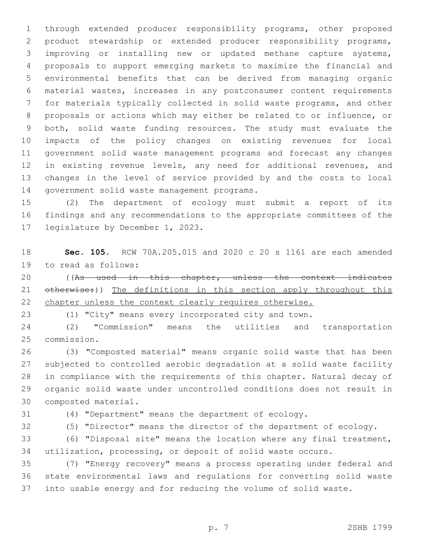through extended producer responsibility programs, other proposed product stewardship or extended producer responsibility programs, improving or installing new or updated methane capture systems, proposals to support emerging markets to maximize the financial and environmental benefits that can be derived from managing organic material wastes, increases in any postconsumer content requirements for materials typically collected in solid waste programs, and other proposals or actions which may either be related to or influence, or both, solid waste funding resources. The study must evaluate the impacts of the policy changes on existing revenues for local government solid waste management programs and forecast any changes in existing revenue levels, any need for additional revenues, and changes in the level of service provided by and the costs to local 14 government solid waste management programs.

 (2) The department of ecology must submit a report of its findings and any recommendations to the appropriate committees of the 17 legislature by December 1, 2023.

 **Sec. 105.** RCW 70A.205.015 and 2020 c 20 s 1161 are each amended 19 to read as follows:

20 ((As used in this chapter, unless the context indicates 21 otherwise:)) The definitions in this section apply throughout this 22 chapter unless the context clearly requires otherwise.

(1) "City" means every incorporated city and town.

 (2) "Commission" means the utilities and transportation 25 commission.

 (3) "Composted material" means organic solid waste that has been subjected to controlled aerobic degradation at a solid waste facility in compliance with the requirements of this chapter. Natural decay of organic solid waste under uncontrolled conditions does not result in 30 composted material.

(4) "Department" means the department of ecology.

(5) "Director" means the director of the department of ecology.

 (6) "Disposal site" means the location where any final treatment, utilization, processing, or deposit of solid waste occurs.

 (7) "Energy recovery" means a process operating under federal and state environmental laws and regulations for converting solid waste into usable energy and for reducing the volume of solid waste.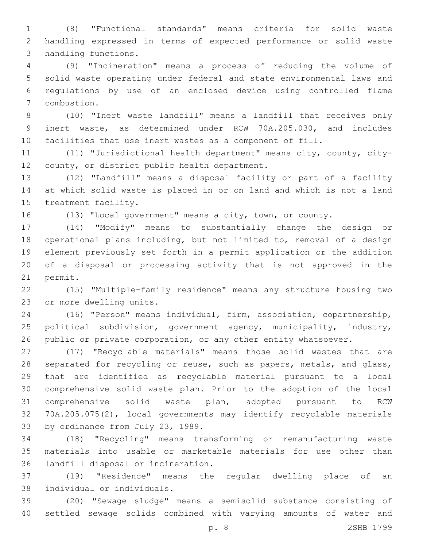(8) "Functional standards" means criteria for solid waste handling expressed in terms of expected performance or solid waste 3 handling functions.

 (9) "Incineration" means a process of reducing the volume of solid waste operating under federal and state environmental laws and regulations by use of an enclosed device using controlled flame 7 combustion.

 (10) "Inert waste landfill" means a landfill that receives only inert waste, as determined under RCW 70A.205.030, and includes facilities that use inert wastes as a component of fill.

 (11) "Jurisdictional health department" means city, county, city-12 county, or district public health department.

 (12) "Landfill" means a disposal facility or part of a facility at which solid waste is placed in or on land and which is not a land 15 treatment facility.

(13) "Local government" means a city, town, or county.

 (14) "Modify" means to substantially change the design or operational plans including, but not limited to, removal of a design element previously set forth in a permit application or the addition of a disposal or processing activity that is not approved in the 21 permit.

 (15) "Multiple-family residence" means any structure housing two 23 or more dwelling units.

 (16) "Person" means individual, firm, association, copartnership, political subdivision, government agency, municipality, industry, 26 public or private corporation, or any other entity whatsoever.

 (17) "Recyclable materials" means those solid wastes that are 28 separated for recycling or reuse, such as papers, metals, and glass, that are identified as recyclable material pursuant to a local comprehensive solid waste plan. Prior to the adoption of the local comprehensive solid waste plan, adopted pursuant to RCW 70A.205.075(2), local governments may identify recyclable materials 33 by ordinance from July 23, 1989.

 (18) "Recycling" means transforming or remanufacturing waste materials into usable or marketable materials for use other than 36 landfill disposal or incineration.

 (19) "Residence" means the regular dwelling place of an individual or individuals.38

 (20) "Sewage sludge" means a semisolid substance consisting of settled sewage solids combined with varying amounts of water and

p. 8 2SHB 1799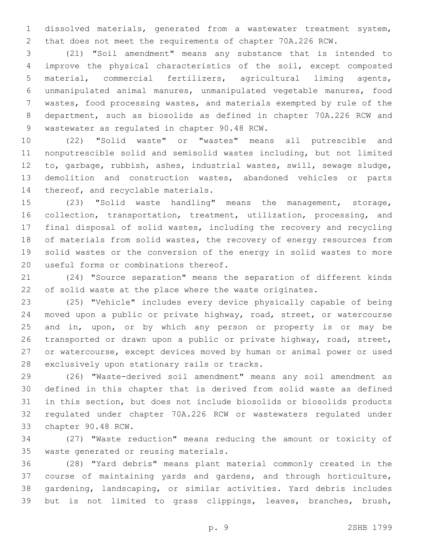dissolved materials, generated from a wastewater treatment system, that does not meet the requirements of chapter 70A.226 RCW.

 (21) "Soil amendment" means any substance that is intended to improve the physical characteristics of the soil, except composted material, commercial fertilizers, agricultural liming agents, unmanipulated animal manures, unmanipulated vegetable manures, food wastes, food processing wastes, and materials exempted by rule of the department, such as biosolids as defined in chapter 70A.226 RCW and 9 wastewater as regulated in chapter 90.48 RCW.

 (22) "Solid waste" or "wastes" means all putrescible and nonputrescible solid and semisolid wastes including, but not limited to, garbage, rubbish, ashes, industrial wastes, swill, sewage sludge, demolition and construction wastes, abandoned vehicles or parts 14 thereof, and recyclable materials.

 (23) "Solid waste handling" means the management, storage, collection, transportation, treatment, utilization, processing, and final disposal of solid wastes, including the recovery and recycling 18 of materials from solid wastes, the recovery of energy resources from solid wastes or the conversion of the energy in solid wastes to more 20 useful forms or combinations thereof.

 (24) "Source separation" means the separation of different kinds of solid waste at the place where the waste originates.

 (25) "Vehicle" includes every device physically capable of being moved upon a public or private highway, road, street, or watercourse and in, upon, or by which any person or property is or may be transported or drawn upon a public or private highway, road, street, or watercourse, except devices moved by human or animal power or used 28 exclusively upon stationary rails or tracks.

 (26) "Waste-derived soil amendment" means any soil amendment as defined in this chapter that is derived from solid waste as defined in this section, but does not include biosolids or biosolids products regulated under chapter 70A.226 RCW or wastewaters regulated under 33 chapter 90.48 RCW.

 (27) "Waste reduction" means reducing the amount or toxicity of 35 waste generated or reusing materials.

 (28) "Yard debris" means plant material commonly created in the course of maintaining yards and gardens, and through horticulture, gardening, landscaping, or similar activities. Yard debris includes but is not limited to grass clippings, leaves, branches, brush,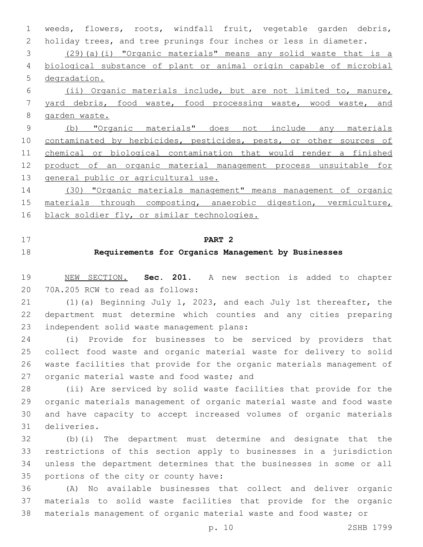weeds, flowers, roots, windfall fruit, vegetable garden debris, holiday trees, and tree prunings four inches or less in diameter. (29)(a)(i) "Organic materials" means any solid waste that is a biological substance of plant or animal origin capable of microbial degradation. (ii) Organic materials include, but are not limited to, manure, yard debris, food waste, food processing waste, wood waste, and garden waste. (b) "Organic materials" does not include any materials 10 contaminated by herbicides, pesticides, pests, or other sources of chemical or biological contamination that would render a finished product of an organic material management process unsuitable for 13 general public or agricultural use. (30) "Organic materials management" means management of organic

 materials through composting, anaerobic digestion, vermiculture, 16 black soldier fly, or similar technologies.

**PART 2**

## **Requirements for Organics Management by Businesses**

 NEW SECTION. **Sec. 201.** A new section is added to chapter 20 70A.205 RCW to read as follows:

 (1)(a) Beginning July 1, 2023, and each July 1st thereafter, the department must determine which counties and any cities preparing 23 independent solid waste management plans:

 (i) Provide for businesses to be serviced by providers that collect food waste and organic material waste for delivery to solid waste facilities that provide for the organic materials management of 27 organic material waste and food waste; and

 (ii) Are serviced by solid waste facilities that provide for the organic materials management of organic material waste and food waste and have capacity to accept increased volumes of organic materials deliveries.31

 (b)(i) The department must determine and designate that the restrictions of this section apply to businesses in a jurisdiction unless the department determines that the businesses in some or all 35 portions of the city or county have:

 (A) No available businesses that collect and deliver organic materials to solid waste facilities that provide for the organic materials management of organic material waste and food waste; or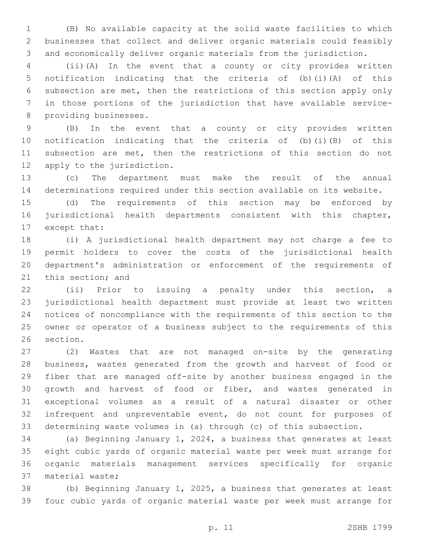(B) No available capacity at the solid waste facilities to which businesses that collect and deliver organic materials could feasibly and economically deliver organic materials from the jurisdiction.

 (ii)(A) In the event that a county or city provides written notification indicating that the criteria of (b)(i)(A) of this subsection are met, then the restrictions of this section apply only in those portions of the jurisdiction that have available service-8 providing businesses.

 (B) In the event that a county or city provides written notification indicating that the criteria of (b)(i)(B) of this subsection are met, then the restrictions of this section do not 12 apply to the jurisdiction.

 (c) The department must make the result of the annual determinations required under this section available on its website.

 (d) The requirements of this section may be enforced by jurisdictional health departments consistent with this chapter, 17 except that:

 (i) A jurisdictional health department may not charge a fee to permit holders to cover the costs of the jurisdictional health department's administration or enforcement of the requirements of 21 this section; and

 (ii) Prior to issuing a penalty under this section, a jurisdictional health department must provide at least two written notices of noncompliance with the requirements of this section to the owner or operator of a business subject to the requirements of this 26 section.

 (2) Wastes that are not managed on-site by the generating business, wastes generated from the growth and harvest of food or fiber that are managed off-site by another business engaged in the growth and harvest of food or fiber, and wastes generated in exceptional volumes as a result of a natural disaster or other infrequent and unpreventable event, do not count for purposes of determining waste volumes in (a) through (c) of this subsection.

 (a) Beginning January 1, 2024, a business that generates at least eight cubic yards of organic material waste per week must arrange for organic materials management services specifically for organic 37 material waste;

 (b) Beginning January 1, 2025, a business that generates at least four cubic yards of organic material waste per week must arrange for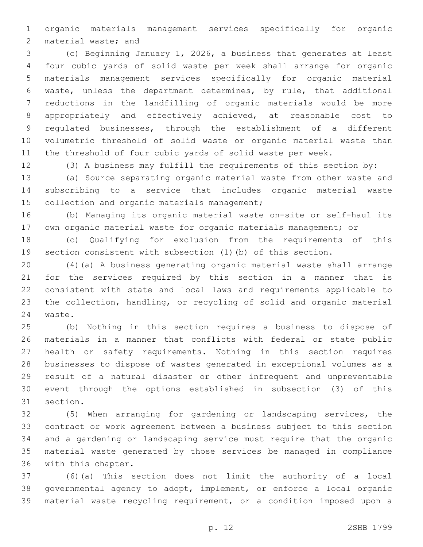organic materials management services specifically for organic 2 material waste; and

 (c) Beginning January 1, 2026, a business that generates at least four cubic yards of solid waste per week shall arrange for organic materials management services specifically for organic material waste, unless the department determines, by rule, that additional reductions in the landfilling of organic materials would be more appropriately and effectively achieved, at reasonable cost to regulated businesses, through the establishment of a different volumetric threshold of solid waste or organic material waste than the threshold of four cubic yards of solid waste per week.

(3) A business may fulfill the requirements of this section by:

 (a) Source separating organic material waste from other waste and subscribing to a service that includes organic material waste 15 collection and organic materials management;

 (b) Managing its organic material waste on-site or self-haul its own organic material waste for organic materials management; or

 (c) Qualifying for exclusion from the requirements of this section consistent with subsection (1)(b) of this section.

 (4)(a) A business generating organic material waste shall arrange for the services required by this section in a manner that is consistent with state and local laws and requirements applicable to the collection, handling, or recycling of solid and organic material 24 waste.

 (b) Nothing in this section requires a business to dispose of materials in a manner that conflicts with federal or state public health or safety requirements. Nothing in this section requires businesses to dispose of wastes generated in exceptional volumes as a result of a natural disaster or other infrequent and unpreventable event through the options established in subsection (3) of this 31 section.

 (5) When arranging for gardening or landscaping services, the contract or work agreement between a business subject to this section and a gardening or landscaping service must require that the organic material waste generated by those services be managed in compliance 36 with this chapter.

 (6)(a) This section does not limit the authority of a local governmental agency to adopt, implement, or enforce a local organic material waste recycling requirement, or a condition imposed upon a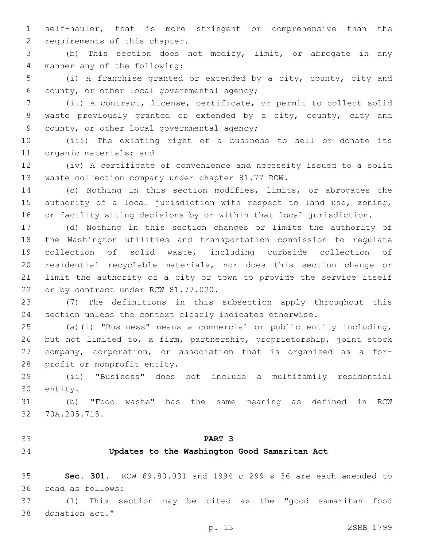self-hauler, that is more stringent or comprehensive than the 2 requirements of this chapter.

 (b) This section does not modify, limit, or abrogate in any 4 manner any of the following:

 (i) A franchise granted or extended by a city, county, city and 6 county, or other local governmental agency;

 (ii) A contract, license, certificate, or permit to collect solid waste previously granted or extended by a city, county, city and 9 county, or other local governmental agency;

 (iii) The existing right of a business to sell or donate its 11 organic materials; and

 (iv) A certificate of convenience and necessity issued to a solid 13 waste collection company under chapter 81.77 RCW.

 (c) Nothing in this section modifies, limits, or abrogates the authority of a local jurisdiction with respect to land use, zoning, or facility siting decisions by or within that local jurisdiction.

 (d) Nothing in this section changes or limits the authority of the Washington utilities and transportation commission to regulate collection of solid waste, including curbside collection of residential recyclable materials, nor does this section change or limit the authority of a city or town to provide the service itself 22 or by contract under RCW 81.77.020.

 (7) The definitions in this subsection apply throughout this section unless the context clearly indicates otherwise.

 (a)(i) "Business" means a commercial or public entity including, but not limited to, a firm, partnership, proprietorship, joint stock company, corporation, or association that is organized as a for-28 profit or nonprofit entity.

 (ii) "Business" does not include a multifamily residential 30 entity.

 (b) "Food waste" has the same meaning as defined in RCW 32 70A.205.715.

## **PART 3**

#### **Updates to the Washington Good Samaritan Act**

 **Sec. 301.** RCW 69.80.031 and 1994 c 299 s 36 are each amended to 36 read as follows:

 (1) This section may be cited as the "good samaritan food 38 donation act."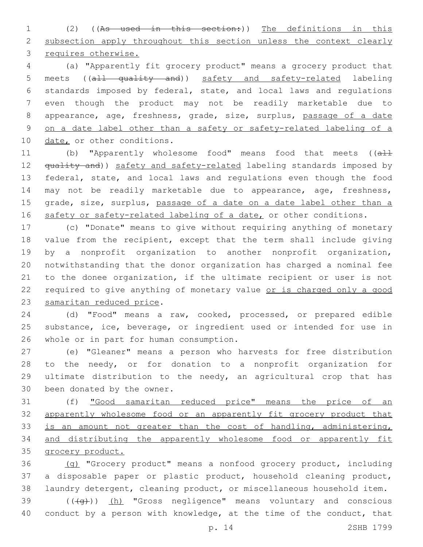(2) ((As used in this section:)) The definitions in this 2 subsection apply throughout this section unless the context clearly requires otherwise.

 (a) "Apparently fit grocery product" means a grocery product that meets ((all quality and)) safety and safety-related labeling standards imposed by federal, state, and local laws and regulations even though the product may not be readily marketable due to appearance, age, freshness, grade, size, surplus, passage of a date on a date label other than a safety or safety-related labeling of a 10 date, or other conditions.

11 (b) "Apparently wholesome food" means food that meets ((all 12 <del>quality and</del>)) safety and safety-related labeling standards imposed by federal, state, and local laws and regulations even though the food may not be readily marketable due to appearance, age, freshness, 15 grade, size, surplus, passage of a date on a date label other than a 16 safety or safety-related labeling of a date, or other conditions.

 (c) "Donate" means to give without requiring anything of monetary value from the recipient, except that the term shall include giving by a nonprofit organization to another nonprofit organization, notwithstanding that the donor organization has charged a nominal fee to the donee organization, if the ultimate recipient or user is not 22 required to give anything of monetary value or is charged only a good 23 samaritan reduced price.

 (d) "Food" means a raw, cooked, processed, or prepared edible substance, ice, beverage, or ingredient used or intended for use in 26 whole or in part for human consumption.

 (e) "Gleaner" means a person who harvests for free distribution to the needy, or for donation to a nonprofit organization for ultimate distribution to the needy, an agricultural crop that has 30 been donated by the owner.

 (f) "Good samaritan reduced price" means the price of an apparently wholesome food or an apparently fit grocery product that 33 is an amount not greater than the cost of handling, administering, and distributing the apparently wholesome food or apparently fit grocery product.

 (g) "Grocery product" means a nonfood grocery product, including a disposable paper or plastic product, household cleaning product, laundry detergent, cleaning product, or miscellaneous household item.

 ( $(\overline{+q})$ ) (h) "Gross negligence" means voluntary and conscious conduct by a person with knowledge, at the time of the conduct, that

p. 14 2SHB 1799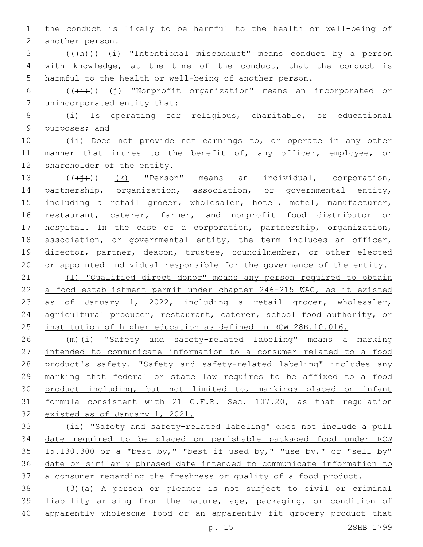the conduct is likely to be harmful to the health or well-being of 2 another person.

3 (((+h))) (i) "Intentional misconduct" means conduct by a person with knowledge, at the time of the conduct, that the conduct is harmful to the health or well-being of another person.

6 ( $(\frac{1}{i})$ ) (j) "Nonprofit organization" means an incorporated or 7 unincorporated entity that:

 (i) Is operating for religious, charitable, or educational 9 purposes; and

 (ii) Does not provide net earnings to, or operate in any other 11 manner that inures to the benefit of, any officer, employee, or 12 shareholder of the entity.

 $((\n\leftrightarrow)^{\circ}$   $(k)$  "Person" means an individual, corporation, partnership, organization, association, or governmental entity, including a retail grocer, wholesaler, hotel, motel, manufacturer, restaurant, caterer, farmer, and nonprofit food distributor or hospital. In the case of a corporation, partnership, organization, association, or governmental entity, the term includes an officer, director, partner, deacon, trustee, councilmember, or other elected or appointed individual responsible for the governance of the entity.

21 (1) "Qualified direct donor" means any person required to obtain a food establishment permit under chapter 246-215 WAC, as it existed as of January 1, 2022, including a retail grocer, wholesaler, 24 agricultural producer, restaurant, caterer, school food authority, or institution of higher education as defined in RCW 28B.10.016.

 (m)(i) "Safety and safety-related labeling" means a marking intended to communicate information to a consumer related to a food 28 product's safety. "Safety and safety-related labeling" includes any marking that federal or state law requires to be affixed to a food 30 product including, but not limited to, markings placed on infant formula consistent with 21 C.F.R. Sec. 107.20, as that regulation existed as of January 1, 2021.

 (ii) "Safety and safety-related labeling" does not include a pull date required to be placed on perishable packaged food under RCW 15.130.300 or a "best by," "best if used by," "use by," or "sell by" date or similarly phrased date intended to communicate information to a consumer regarding the freshness or quality of a food product.

 (3)(a) A person or gleaner is not subject to civil or criminal liability arising from the nature, age, packaging, or condition of apparently wholesome food or an apparently fit grocery product that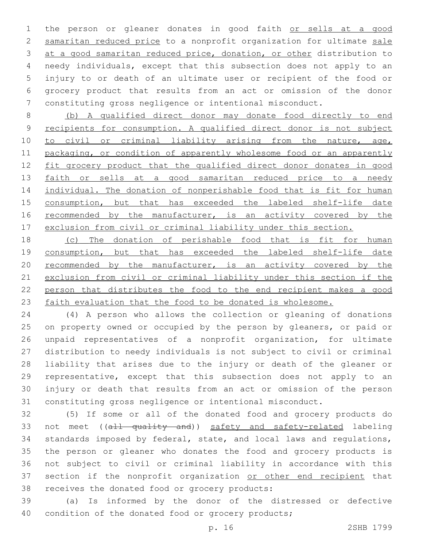the person or gleaner donates in good faith or sells at a good samaritan reduced price to a nonprofit organization for ultimate sale at a good samaritan reduced price, donation, or other distribution to needy individuals, except that this subsection does not apply to an injury to or death of an ultimate user or recipient of the food or grocery product that results from an act or omission of the donor constituting gross negligence or intentional misconduct.

 (b) A qualified direct donor may donate food directly to end recipients for consumption. A qualified direct donor is not subject 10 to civil or criminal liability arising from the nature, age, packaging, or condition of apparently wholesome food or an apparently 12 fit grocery product that the qualified direct donor donates in good 13 faith or sells at a good samaritan reduced price to a needy 14 individual. The donation of nonperishable food that is fit for human 15 consumption, but that has exceeded the labeled shelf-life date 16 recommended by the manufacturer, is an activity covered by the exclusion from civil or criminal liability under this section.

18 (c) The donation of perishable food that is fit for human consumption, but that has exceeded the labeled shelf-life date recommended by the manufacturer, is an activity covered by the exclusion from civil or criminal liability under this section if the person that distributes the food to the end recipient makes a good 23 faith evaluation that the food to be donated is wholesome.

 (4) A person who allows the collection or gleaning of donations 25 on property owned or occupied by the person by gleaners, or paid or unpaid representatives of a nonprofit organization, for ultimate distribution to needy individuals is not subject to civil or criminal liability that arises due to the injury or death of the gleaner or representative, except that this subsection does not apply to an injury or death that results from an act or omission of the person constituting gross negligence or intentional misconduct.

 (5) If some or all of the donated food and grocery products do 33 not meet ((all quality and)) safety and safety-related labeling standards imposed by federal, state, and local laws and regulations, the person or gleaner who donates the food and grocery products is not subject to civil or criminal liability in accordance with this 37 section if the nonprofit organization or other end recipient that 38 receives the donated food or grocery products:

 (a) Is informed by the donor of the distressed or defective 40 condition of the donated food or grocery products;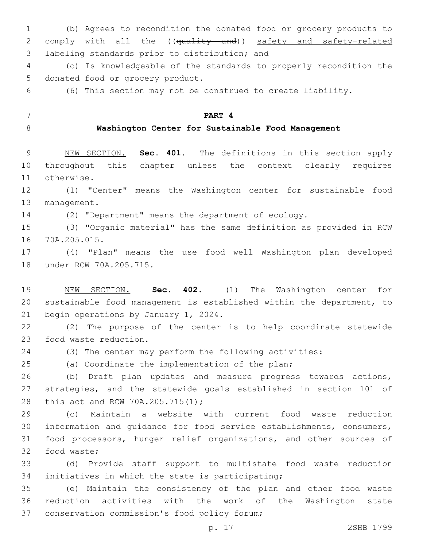(b) Agrees to recondition the donated food or grocery products to 2 comply with all the ((quality and)) safety and safety-related 3 labeling standards prior to distribution; and

 (c) Is knowledgeable of the standards to properly recondition the 5 donated food or grocery product.

(6) This section may not be construed to create liability.

**PART 4**

## **Washington Center for Sustainable Food Management**

 NEW SECTION. **Sec. 401.** The definitions in this section apply throughout this chapter unless the context clearly requires otherwise.

 (1) "Center" means the Washington center for sustainable food 13 management.

(2) "Department" means the department of ecology.

 (3) "Organic material" has the same definition as provided in RCW 70A.205.015.16

 (4) "Plan" means the use food well Washington plan developed 18 under RCW 70A.205.715.

 NEW SECTION. **Sec. 402.** (1) The Washington center for sustainable food management is established within the department, to begin operations by January 1, 2024.

 (2) The purpose of the center is to help coordinate statewide 23 food waste reduction.

(3) The center may perform the following activities:

(a) Coordinate the implementation of the plan;

 (b) Draft plan updates and measure progress towards actions, strategies, and the statewide goals established in section 101 of 28 this act and RCW 70A.205.715(1);

 (c) Maintain a website with current food waste reduction information and guidance for food service establishments, consumers, food processors, hunger relief organizations, and other sources of 32 food waste;

 (d) Provide staff support to multistate food waste reduction 34 initiatives in which the state is participating;

 (e) Maintain the consistency of the plan and other food waste reduction activities with the work of the Washington state 37 conservation commission's food policy forum;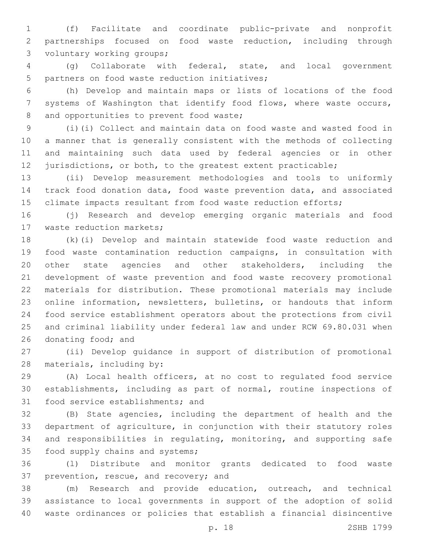(f) Facilitate and coordinate public-private and nonprofit partnerships focused on food waste reduction, including through 3 voluntary working groups;

 (g) Collaborate with federal, state, and local government 5 partners on food waste reduction initiatives;

 (h) Develop and maintain maps or lists of locations of the food systems of Washington that identify food flows, where waste occurs, 8 and opportunities to prevent food waste;

 (i)(i) Collect and maintain data on food waste and wasted food in a manner that is generally consistent with the methods of collecting and maintaining such data used by federal agencies or in other 12 jurisdictions, or both, to the greatest extent practicable;

 (ii) Develop measurement methodologies and tools to uniformly track food donation data, food waste prevention data, and associated 15 climate impacts resultant from food waste reduction efforts;

 (j) Research and develop emerging organic materials and food 17 waste reduction markets;

 (k)(i) Develop and maintain statewide food waste reduction and food waste contamination reduction campaigns, in consultation with other state agencies and other stakeholders, including the development of waste prevention and food waste recovery promotional materials for distribution. These promotional materials may include online information, newsletters, bulletins, or handouts that inform food service establishment operators about the protections from civil and criminal liability under federal law and under RCW 69.80.031 when 26 donating food; and

 (ii) Develop guidance in support of distribution of promotional 28 materials, including by:

 (A) Local health officers, at no cost to regulated food service establishments, including as part of normal, routine inspections of 31 food service establishments; and

 (B) State agencies, including the department of health and the department of agriculture, in conjunction with their statutory roles and responsibilities in regulating, monitoring, and supporting safe 35 food supply chains and systems;

 (l) Distribute and monitor grants dedicated to food waste 37 prevention, rescue, and recovery; and

 (m) Research and provide education, outreach, and technical assistance to local governments in support of the adoption of solid waste ordinances or policies that establish a financial disincentive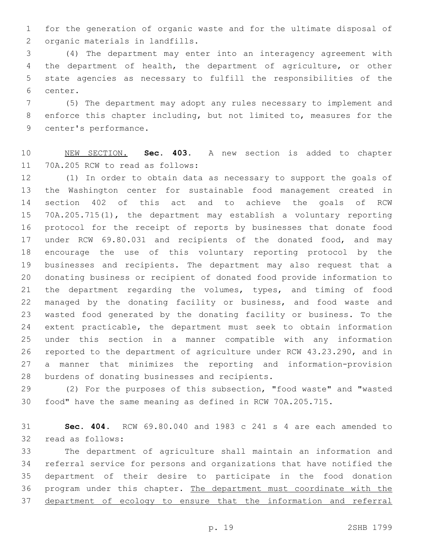for the generation of organic waste and for the ultimate disposal of 2 organic materials in landfills.

 (4) The department may enter into an interagency agreement with the department of health, the department of agriculture, or other state agencies as necessary to fulfill the responsibilities of the 6 center.

 (5) The department may adopt any rules necessary to implement and enforce this chapter including, but not limited to, measures for the 9 center's performance.

 NEW SECTION. **Sec. 403.** A new section is added to chapter 11 70A.205 RCW to read as follows:

 (1) In order to obtain data as necessary to support the goals of the Washington center for sustainable food management created in section 402 of this act and to achieve the goals of RCW 70A.205.715(1), the department may establish a voluntary reporting protocol for the receipt of reports by businesses that donate food under RCW 69.80.031 and recipients of the donated food, and may encourage the use of this voluntary reporting protocol by the businesses and recipients. The department may also request that a donating business or recipient of donated food provide information to the department regarding the volumes, types, and timing of food managed by the donating facility or business, and food waste and wasted food generated by the donating facility or business. To the extent practicable, the department must seek to obtain information under this section in a manner compatible with any information reported to the department of agriculture under RCW 43.23.290, and in a manner that minimizes the reporting and information-provision 28 burdens of donating businesses and recipients.

 (2) For the purposes of this subsection, "food waste" and "wasted food" have the same meaning as defined in RCW 70A.205.715.

 **Sec. 404.** RCW 69.80.040 and 1983 c 241 s 4 are each amended to 32 read as follows:

 The department of agriculture shall maintain an information and referral service for persons and organizations that have notified the department of their desire to participate in the food donation 36 program under this chapter. The department must coordinate with the department of ecology to ensure that the information and referral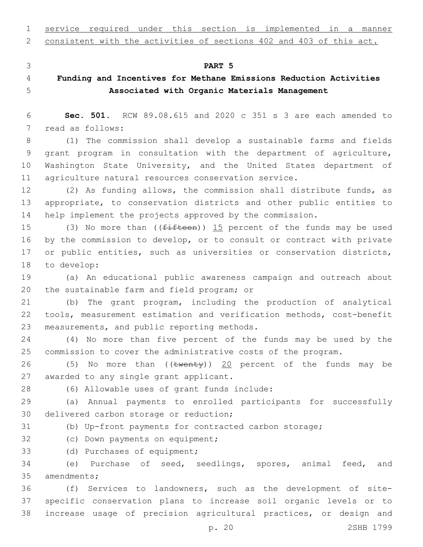service required under this section is implemented in a manner

consistent with the activities of sections 402 and 403 of this act.

#### **PART 5**

# **Funding and Incentives for Methane Emissions Reduction Activities Associated with Organic Materials Management**

 **Sec. 501.** RCW 89.08.615 and 2020 c 351 s 3 are each amended to 7 read as follows:

 (1) The commission shall develop a sustainable farms and fields grant program in consultation with the department of agriculture, Washington State University, and the United States department of agriculture natural resources conservation service.

 (2) As funding allows, the commission shall distribute funds, as appropriate, to conservation districts and other public entities to help implement the projects approved by the commission.

15 (3) No more than ((fifteen)) 15 percent of the funds may be used by the commission to develop, or to consult or contract with private 17 or public entities, such as universities or conservation districts, 18 to develop:

 (a) An educational public awareness campaign and outreach about 20 the sustainable farm and field program; or

 (b) The grant program, including the production of analytical tools, measurement estimation and verification methods, cost-benefit 23 measurements, and public reporting methods.

 (4) No more than five percent of the funds may be used by the commission to cover the administrative costs of the program.

26 (5) No more than ((twenty)) 20 percent of the funds may be 27 awarded to any single grant applicant.

(6) Allowable uses of grant funds include:28

 (a) Annual payments to enrolled participants for successfully 30 delivered carbon storage or reduction;

(b) Up-front payments for contracted carbon storage;

32 (c) Down payments on equipment;

33 (d) Purchases of equipment;

 (e) Purchase of seed, seedlings, spores, animal feed, and 35 amendments;

 (f) Services to landowners, such as the development of site- specific conservation plans to increase soil organic levels or to increase usage of precision agricultural practices, or design and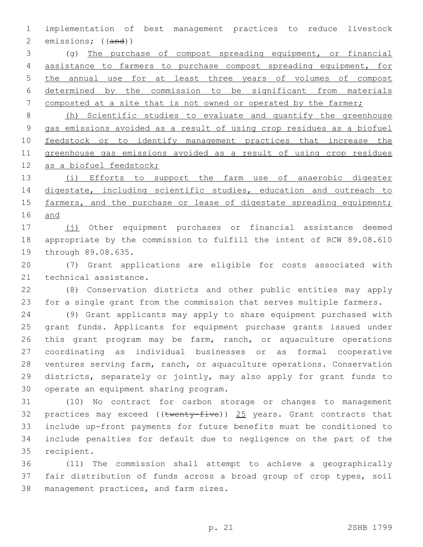implementation of best management practices to reduce livestock emissions; ((and))

 (g) The purchase of compost spreading equipment, or financial assistance to farmers to purchase compost spreading equipment, for the annual use for at least three years of volumes of compost determined by the commission to be significant from materials 7 composted at a site that is not owned or operated by the farmer;

 (h) Scientific studies to evaluate and quantify the greenhouse gas emissions avoided as a result of using crop residues as a biofuel feedstock or to identify management practices that increase the greenhouse gas emissions avoided as a result of using crop residues 12 as a biofuel feedstock;

13 (i) Efforts to support the farm use of anaerobic digester 14 digestate, including scientific studies, education and outreach to 15 farmers, and the purchase or lease of digestate spreading equipment; and

17 (i) Other equipment purchases or financial assistance deemed appropriate by the commission to fulfill the intent of RCW 89.08.610 19 through 89.08.635.

 (7) Grant applications are eligible for costs associated with 21 technical assistance.

 (8) Conservation districts and other public entities may apply for a single grant from the commission that serves multiple farmers.

 (9) Grant applicants may apply to share equipment purchased with grant funds. Applicants for equipment purchase grants issued under this grant program may be farm, ranch, or aquaculture operations coordinating as individual businesses or as formal cooperative ventures serving farm, ranch, or aquaculture operations. Conservation districts, separately or jointly, may also apply for grant funds to 30 operate an equipment sharing program.

 (10) No contract for carbon storage or changes to management 32 practices may exceed (( $t$ wenty-five)) 25 years. Grant contracts that include up-front payments for future benefits must be conditioned to include penalties for default due to negligence on the part of the 35 recipient.

 (11) The commission shall attempt to achieve a geographically fair distribution of funds across a broad group of crop types, soil 38 management practices, and farm sizes.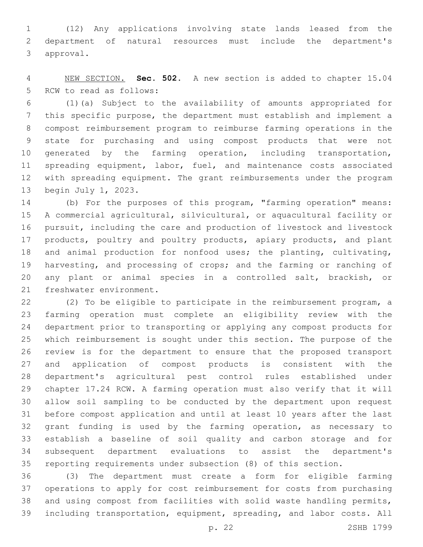(12) Any applications involving state lands leased from the department of natural resources must include the department's 3 approval.

 NEW SECTION. **Sec. 502.** A new section is added to chapter 15.04 5 RCW to read as follows:

 (1)(a) Subject to the availability of amounts appropriated for this specific purpose, the department must establish and implement a compost reimbursement program to reimburse farming operations in the state for purchasing and using compost products that were not 10 generated by the farming operation, including transportation, 11 spreading equipment, labor, fuel, and maintenance costs associated with spreading equipment. The grant reimbursements under the program 13 begin July 1, 2023.

 (b) For the purposes of this program, "farming operation" means: A commercial agricultural, silvicultural, or aquacultural facility or pursuit, including the care and production of livestock and livestock 17 products, poultry and poultry products, apiary products, and plant and animal production for nonfood uses; the planting, cultivating, harvesting, and processing of crops; and the farming or ranching of any plant or animal species in a controlled salt, brackish, or 21 freshwater environment.

 (2) To be eligible to participate in the reimbursement program, a farming operation must complete an eligibility review with the department prior to transporting or applying any compost products for which reimbursement is sought under this section. The purpose of the review is for the department to ensure that the proposed transport and application of compost products is consistent with the department's agricultural pest control rules established under chapter 17.24 RCW. A farming operation must also verify that it will allow soil sampling to be conducted by the department upon request before compost application and until at least 10 years after the last grant funding is used by the farming operation, as necessary to establish a baseline of soil quality and carbon storage and for subsequent department evaluations to assist the department's reporting requirements under subsection (8) of this section.

 (3) The department must create a form for eligible farming operations to apply for cost reimbursement for costs from purchasing and using compost from facilities with solid waste handling permits, including transportation, equipment, spreading, and labor costs. All

p. 22 2SHB 1799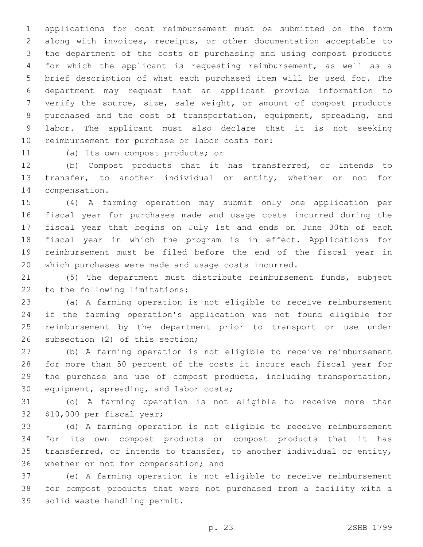applications for cost reimbursement must be submitted on the form along with invoices, receipts, or other documentation acceptable to the department of the costs of purchasing and using compost products for which the applicant is requesting reimbursement, as well as a brief description of what each purchased item will be used for. The department may request that an applicant provide information to verify the source, size, sale weight, or amount of compost products purchased and the cost of transportation, equipment, spreading, and labor. The applicant must also declare that it is not seeking 10 reimbursement for purchase or labor costs for:

11 (a) Its own compost products; or

 (b) Compost products that it has transferred, or intends to transfer, to another individual or entity, whether or not for 14 compensation.

 (4) A farming operation may submit only one application per fiscal year for purchases made and usage costs incurred during the fiscal year that begins on July 1st and ends on June 30th of each fiscal year in which the program is in effect. Applications for reimbursement must be filed before the end of the fiscal year in which purchases were made and usage costs incurred.

 (5) The department must distribute reimbursement funds, subject 22 to the following limitations:

 (a) A farming operation is not eligible to receive reimbursement if the farming operation's application was not found eligible for reimbursement by the department prior to transport or use under 26 subsection (2) of this section;

 (b) A farming operation is not eligible to receive reimbursement for more than 50 percent of the costs it incurs each fiscal year for the purchase and use of compost products, including transportation, 30 equipment, spreading, and labor costs;

 (c) A farming operation is not eligible to receive more than 32 \$10,000 per fiscal year;

 (d) A farming operation is not eligible to receive reimbursement for its own compost products or compost products that it has transferred, or intends to transfer, to another individual or entity, 36 whether or not for compensation; and

 (e) A farming operation is not eligible to receive reimbursement for compost products that were not purchased from a facility with a 39 solid waste handling permit.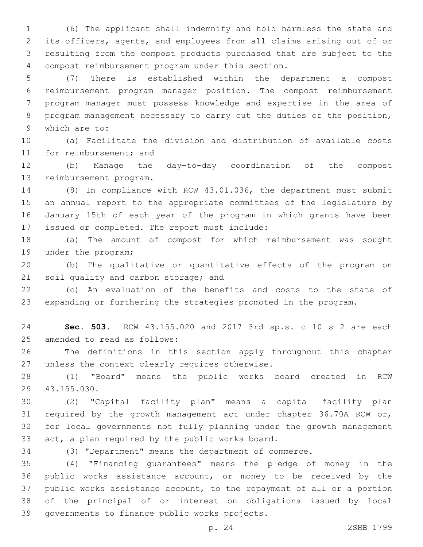(6) The applicant shall indemnify and hold harmless the state and its officers, agents, and employees from all claims arising out of or resulting from the compost products purchased that are subject to the compost reimbursement program under this section.4

 (7) There is established within the department a compost reimbursement program manager position. The compost reimbursement program manager must possess knowledge and expertise in the area of program management necessary to carry out the duties of the position, 9 which are to:

 (a) Facilitate the division and distribution of available costs 11 for reimbursement; and

 (b) Manage the day-to-day coordination of the compost 13 reimbursement program.

 (8) In compliance with RCW 43.01.036, the department must submit an annual report to the appropriate committees of the legislature by January 15th of each year of the program in which grants have been 17 issued or completed. The report must include:

 (a) The amount of compost for which reimbursement was sought 19 under the program;

 (b) The qualitative or quantitative effects of the program on 21 soil quality and carbon storage; and

 (c) An evaluation of the benefits and costs to the state of expanding or furthering the strategies promoted in the program.

 **Sec. 503.** RCW 43.155.020 and 2017 3rd sp.s. c 10 s 2 are each 25 amended to read as follows:

 The definitions in this section apply throughout this chapter 27 unless the context clearly requires otherwise.

 (1) "Board" means the public works board created in RCW 43.155.030.29

 (2) "Capital facility plan" means a capital facility plan required by the growth management act under chapter 36.70A RCW or, for local governments not fully planning under the growth management 33 act, a plan required by the public works board.

(3) "Department" means the department of commerce.

 (4) "Financing guarantees" means the pledge of money in the public works assistance account, or money to be received by the public works assistance account, to the repayment of all or a portion of the principal of or interest on obligations issued by local 39 governments to finance public works projects.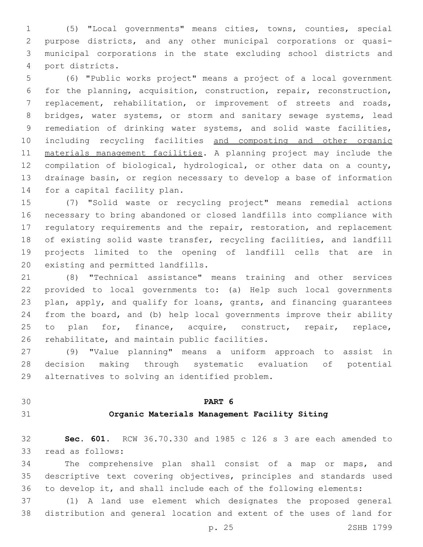(5) "Local governments" means cities, towns, counties, special purpose districts, and any other municipal corporations or quasi- municipal corporations in the state excluding school districts and port districts.4

 (6) "Public works project" means a project of a local government for the planning, acquisition, construction, repair, reconstruction, replacement, rehabilitation, or improvement of streets and roads, 8 bridges, water systems, or storm and sanitary sewage systems, lead remediation of drinking water systems, and solid waste facilities, including recycling facilities and composting and other organic materials management facilities. A planning project may include the compilation of biological, hydrological, or other data on a county, drainage basin, or region necessary to develop a base of information 14 for a capital facility plan.

 (7) "Solid waste or recycling project" means remedial actions necessary to bring abandoned or closed landfills into compliance with 17 regulatory requirements and the repair, restoration, and replacement of existing solid waste transfer, recycling facilities, and landfill projects limited to the opening of landfill cells that are in 20 existing and permitted landfills.

 (8) "Technical assistance" means training and other services provided to local governments to: (a) Help such local governments plan, apply, and qualify for loans, grants, and financing guarantees from the board, and (b) help local governments improve their ability 25 to plan for, finance, acquire, construct, repair, replace, 26 rehabilitate, and maintain public facilities.

 (9) "Value planning" means a uniform approach to assist in decision making through systematic evaluation of potential 29 alternatives to solving an identified problem.

# **PART 6**

### **Organic Materials Management Facility Siting**

 **Sec. 601.** RCW 36.70.330 and 1985 c 126 s 3 are each amended to 33 read as follows:

 The comprehensive plan shall consist of a map or maps, and descriptive text covering objectives, principles and standards used to develop it, and shall include each of the following elements:

 (1) A land use element which designates the proposed general distribution and general location and extent of the uses of land for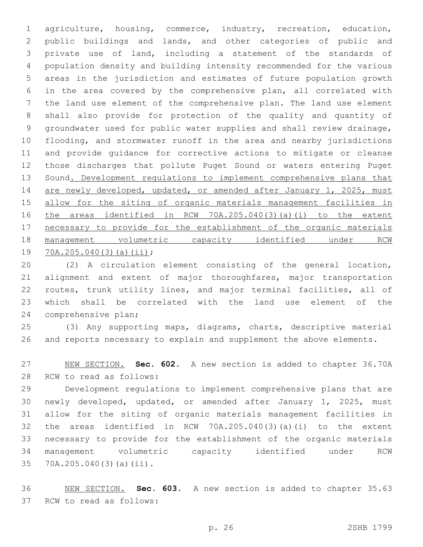agriculture, housing, commerce, industry, recreation, education, public buildings and lands, and other categories of public and private use of land, including a statement of the standards of population density and building intensity recommended for the various areas in the jurisdiction and estimates of future population growth in the area covered by the comprehensive plan, all correlated with the land use element of the comprehensive plan. The land use element shall also provide for protection of the quality and quantity of groundwater used for public water supplies and shall review drainage, flooding, and stormwater runoff in the area and nearby jurisdictions and provide guidance for corrective actions to mitigate or cleanse those discharges that pollute Puget Sound or waters entering Puget Sound. Development regulations to implement comprehensive plans that 14 are newly developed, updated, or amended after January 1, 2025, must allow for the siting of organic materials management facilities in the areas identified in RCW 70A.205.040(3)(a)(i) to the extent necessary to provide for the establishment of the organic materials management volumetric capacity identified under RCW 19 70A.205.040(3)(a)(ii);

 (2) A circulation element consisting of the general location, 21 alignment and extent of major thoroughfares, major transportation routes, trunk utility lines, and major terminal facilities, all of which shall be correlated with the land use element of the 24 comprehensive plan;

 (3) Any supporting maps, diagrams, charts, descriptive material and reports necessary to explain and supplement the above elements.

 NEW SECTION. **Sec. 602.** A new section is added to chapter 36.70A 28 RCW to read as follows:

 Development regulations to implement comprehensive plans that are newly developed, updated, or amended after January 1, 2025, must allow for the siting of organic materials management facilities in the areas identified in RCW 70A.205.040(3)(a)(i) to the extent necessary to provide for the establishment of the organic materials management volumetric capacity identified under RCW 35 70A.205.040(3)(a)(ii).

 NEW SECTION. **Sec. 603.** A new section is added to chapter 35.63 37 RCW to read as follows: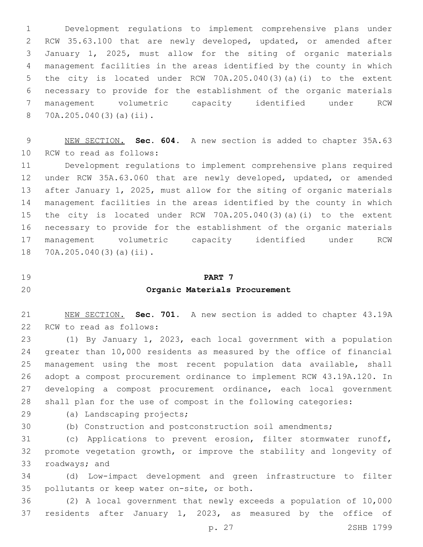Development regulations to implement comprehensive plans under RCW 35.63.100 that are newly developed, updated, or amended after January 1, 2025, must allow for the siting of organic materials management facilities in the areas identified by the county in which the city is located under RCW 70A.205.040(3)(a)(i) to the extent necessary to provide for the establishment of the organic materials management volumetric capacity identified under RCW 70A.205.040(3)(a)(ii).8

 NEW SECTION. **Sec. 604.** A new section is added to chapter 35A.63 10 RCW to read as follows:

 Development regulations to implement comprehensive plans required under RCW 35A.63.060 that are newly developed, updated, or amended after January 1, 2025, must allow for the siting of organic materials management facilities in the areas identified by the county in which the city is located under RCW 70A.205.040(3)(a)(i) to the extent necessary to provide for the establishment of the organic materials management volumetric capacity identified under RCW 18 70A.205.040(3)(a)(ii).

**PART 7**

### **Organic Materials Procurement**

 NEW SECTION. **Sec. 701.** A new section is added to chapter 43.19A 22 RCW to read as follows:

 (1) By January 1, 2023, each local government with a population greater than 10,000 residents as measured by the office of financial management using the most recent population data available, shall adopt a compost procurement ordinance to implement RCW 43.19A.120. In developing a compost procurement ordinance, each local government shall plan for the use of compost in the following categories:

29 (a) Landscaping projects;

(b) Construction and postconstruction soil amendments;

 (c) Applications to prevent erosion, filter stormwater runoff, promote vegetation growth, or improve the stability and longevity of 33 roadways; and

 (d) Low-impact development and green infrastructure to filter 35 pollutants or keep water on-site, or both.

 (2) A local government that newly exceeds a population of 10,000 residents after January 1, 2023, as measured by the office of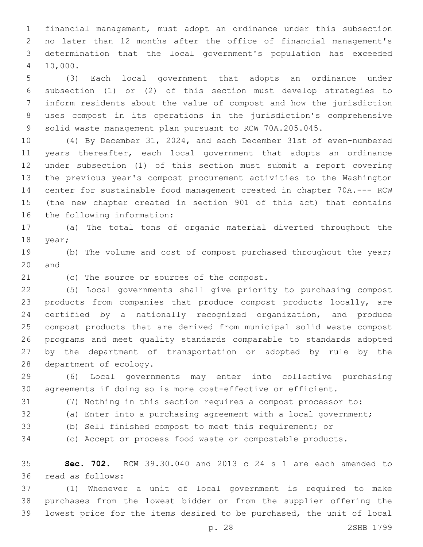financial management, must adopt an ordinance under this subsection no later than 12 months after the office of financial management's determination that the local government's population has exceeded 10,000.4

 (3) Each local government that adopts an ordinance under subsection (1) or (2) of this section must develop strategies to inform residents about the value of compost and how the jurisdiction uses compost in its operations in the jurisdiction's comprehensive solid waste management plan pursuant to RCW 70A.205.045.

 (4) By December 31, 2024, and each December 31st of even-numbered years thereafter, each local government that adopts an ordinance under subsection (1) of this section must submit a report covering the previous year's compost procurement activities to the Washington center for sustainable food management created in chapter 70A.--- RCW (the new chapter created in section 901 of this act) that contains 16 the following information:

 (a) The total tons of organic material diverted throughout the 18 year;

19 (b) The volume and cost of compost purchased throughout the year; 20 and

21 (c) The source or sources of the compost.

 (5) Local governments shall give priority to purchasing compost products from companies that produce compost products locally, are certified by a nationally recognized organization, and produce compost products that are derived from municipal solid waste compost programs and meet quality standards comparable to standards adopted by the department of transportation or adopted by rule by the 28 department of ecology.

 (6) Local governments may enter into collective purchasing agreements if doing so is more cost-effective or efficient.

(7) Nothing in this section requires a compost processor to:

- 
- (a) Enter into a purchasing agreement with a local government;
- 
- (b) Sell finished compost to meet this requirement; or

(c) Accept or process food waste or compostable products.

 **Sec. 702.** RCW 39.30.040 and 2013 c 24 s 1 are each amended to read as follows:36

 (1) Whenever a unit of local government is required to make purchases from the lowest bidder or from the supplier offering the lowest price for the items desired to be purchased, the unit of local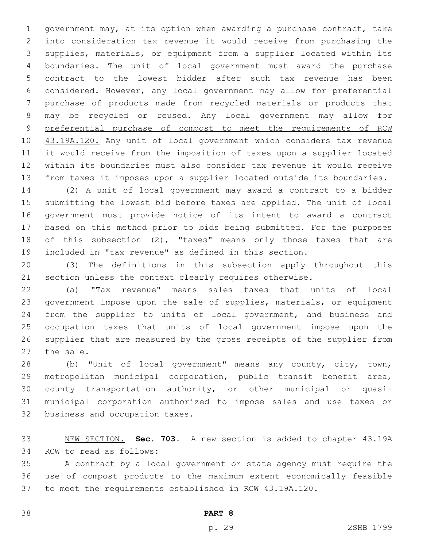government may, at its option when awarding a purchase contract, take into consideration tax revenue it would receive from purchasing the supplies, materials, or equipment from a supplier located within its boundaries. The unit of local government must award the purchase contract to the lowest bidder after such tax revenue has been considered. However, any local government may allow for preferential purchase of products made from recycled materials or products that may be recycled or reused. Any local government may allow for preferential purchase of compost to meet the requirements of RCW 10 43.19A.120. Any unit of local government which considers tax revenue it would receive from the imposition of taxes upon a supplier located within its boundaries must also consider tax revenue it would receive from taxes it imposes upon a supplier located outside its boundaries.

 (2) A unit of local government may award a contract to a bidder submitting the lowest bid before taxes are applied. The unit of local government must provide notice of its intent to award a contract based on this method prior to bids being submitted. For the purposes of this subsection (2), "taxes" means only those taxes that are included in "tax revenue" as defined in this section.

 (3) The definitions in this subsection apply throughout this section unless the context clearly requires otherwise.

 (a) "Tax revenue" means sales taxes that units of local government impose upon the sale of supplies, materials, or equipment from the supplier to units of local government, and business and occupation taxes that units of local government impose upon the supplier that are measured by the gross receipts of the supplier from 27 the sale.

 (b) "Unit of local government" means any county, city, town, metropolitan municipal corporation, public transit benefit area, county transportation authority, or other municipal or quasi- municipal corporation authorized to impose sales and use taxes or 32 business and occupation taxes.

 NEW SECTION. **Sec. 703.** A new section is added to chapter 43.19A 34 RCW to read as follows:

 A contract by a local government or state agency must require the use of compost products to the maximum extent economically feasible to meet the requirements established in RCW 43.19A.120.

**PART 8**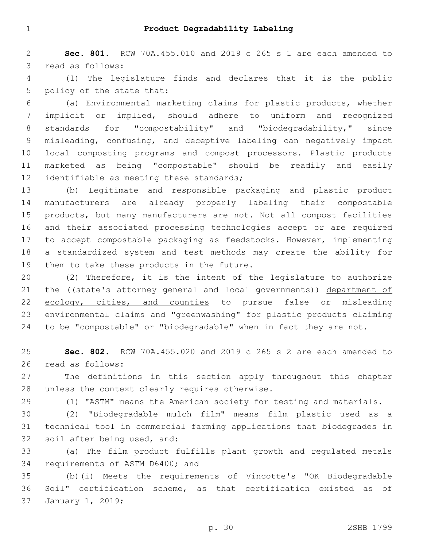**Sec. 801.** RCW 70A.455.010 and 2019 c 265 s 1 are each amended to 3 read as follows:

 (1) The legislature finds and declares that it is the public 5 policy of the state that:

 (a) Environmental marketing claims for plastic products, whether implicit or implied, should adhere to uniform and recognized standards for "compostability" and "biodegradability," since misleading, confusing, and deceptive labeling can negatively impact local composting programs and compost processors. Plastic products marketed as being "compostable" should be readily and easily 12 identifiable as meeting these standards;

 (b) Legitimate and responsible packaging and plastic product manufacturers are already properly labeling their compostable products, but many manufacturers are not. Not all compost facilities and their associated processing technologies accept or are required to accept compostable packaging as feedstocks. However, implementing a standardized system and test methods may create the ability for 19 them to take these products in the future.

 (2) Therefore, it is the intent of the legislature to authorize 21 the ((state's attorney general and local governments)) department of 22 ecology, cities, and counties to pursue false or misleading environmental claims and "greenwashing" for plastic products claiming 24 to be "compostable" or "biodegradable" when in fact they are not.

 **Sec. 802.** RCW 70A.455.020 and 2019 c 265 s 2 are each amended to 26 read as follows:

 The definitions in this section apply throughout this chapter 28 unless the context clearly requires otherwise.

(1) "ASTM" means the American society for testing and materials.

 (2) "Biodegradable mulch film" means film plastic used as a technical tool in commercial farming applications that biodegrades in 32 soil after being used, and:

 (a) The film product fulfills plant growth and regulated metals 34 requirements of ASTM D6400; and

 (b)(i) Meets the requirements of Vincotte's "OK Biodegradable Soil" certification scheme, as that certification existed as of 37 January 1, 2019;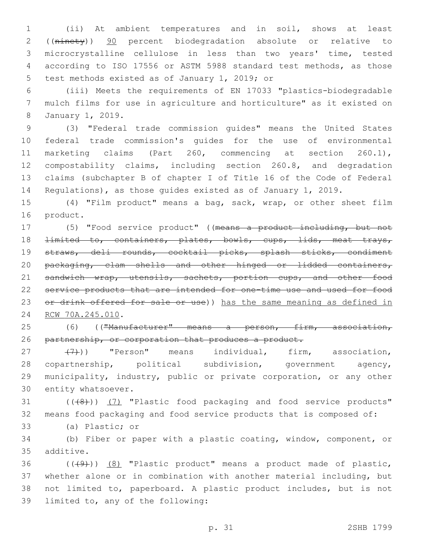1 (ii) At ambient temperatures and in soil, shows at least 2 ((ninety)) 90 percent biodegradation absolute or relative to 3 microcrystalline cellulose in less than two years' time, tested 4 according to ISO 17556 or ASTM 5988 standard test methods, as those 5 test methods existed as of January 1, 2019; or

6 (iii) Meets the requirements of EN 17033 "plastics-biodegradable 7 mulch films for use in agriculture and horticulture" as it existed on January 1, 2019.8

 (3) "Federal trade commission guides" means the United States federal trade commission's guides for the use of environmental marketing claims (Part 260, commencing at section 260.1), compostability claims, including section 260.8, and degradation claims (subchapter B of chapter I of Title 16 of the Code of Federal Regulations), as those guides existed as of January 1, 2019.

15 (4) "Film product" means a bag, sack, wrap, or other sheet film 16 product.

17 (5) "Food service product" ((means a product including, but not 18 <del>limited to, containers, plates, bowls, cups, lids, meat trays,</del> 19 straws, deli rounds, cocktail picks, splash sticks, condiment 20 packaging, clam shells and other hinged or lidded containers, 21 sandwich wrap, utensils, sachets, portion cups, and other food 22 service products that are intended for one-time use and used for food 23 or drink offered for sale or use)) has the same meaning as defined in 24 RCW 70A.245.010.

25 (6) (("Manufacturer" means a person, firm, association, 26 partnership, or corporation that produces a product.

27 (7)) "Person" means individual, firm, association, 28 copartnership, political subdivision, government agency, 29 municipality, industry, public or private corporation, or any other 30 entity whatsoever.

31 (((8)) (7) "Plastic food packaging and food service products" 32 means food packaging and food service products that is composed of:

33 (a) Plastic; or

34 (b) Fiber or paper with a plastic coating, window, component, or 35 additive.

 ( $(\frac{49}{})$ )  $(8)$  "Plastic product" means a product made of plastic, whether alone or in combination with another material including, but not limited to, paperboard. A plastic product includes, but is not 39 limited to, any of the following: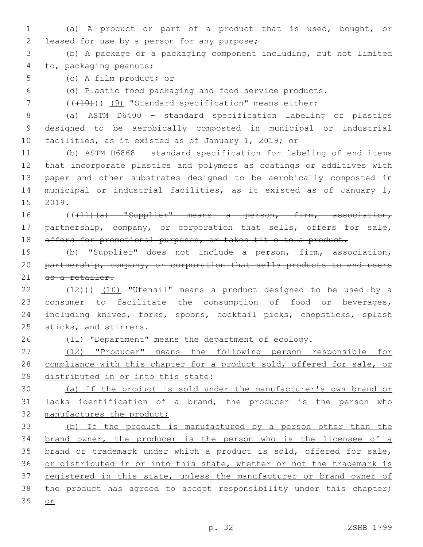- 1 (a) A product or part of a product that is used, bought, or 2 leased for use by a person for any purpose;
- 3 (b) A package or a packaging component including, but not limited 4 to, packaging peanuts;
- 5 (c) A film product; or

6 (d) Plastic food packaging and food service products.

7 (( $(410)$ ) (9) "Standard specification" means either:

8 (a) ASTM D6400 – standard specification labeling of plastics 9 designed to be aerobically composted in municipal or industrial 10 facilities, as it existed as of January 1, 2019; or

 (b) ASTM D6868 – standard specification for labeling of end items that incorporate plastics and polymers as coatings or additives with paper and other substrates designed to be aerobically composted in municipal or industrial facilities, as it existed as of January 1, 15 2019.

16 ((+11)(a) "Supplier" means a person, firm, association, 17 partnership, company, or corporation that sells, offers for sale, 18 offers for promotional purposes, or takes title to a product.

19 (b) "Supplier" does not include a person, firm, association, 20 partnership, company, or corporation that sells products to end users 21 as a retailer.

 $(12)$ ))  $(10)$  "Utensil" means a product designed to be used by a consumer to facilitate the consumption of food or beverages, including knives, forks, spoons, cocktail picks, chopsticks, splash 25 sticks, and stirrers.

26 (11) "Department" means the department of ecology.

27 (12) "Producer" means the following person responsible for 28 compliance with this chapter for a product sold, offered for sale, or 29 distributed in or into this state:

30 (a) If the product is sold under the manufacturer's own brand or 31 lacks identification of a brand, the producer is the person who 32 manufactures the product;

33 (b) If the product is manufactured by a person other than the 34 brand owner, the producer is the person who is the licensee of a 35 brand or trademark under which a product is sold, offered for sale, 36 or distributed in or into this state, whether or not the trademark is 37 registered in this state, unless the manufacturer or brand owner of 38 the product has agreed to accept responsibility under this chapter; 39 or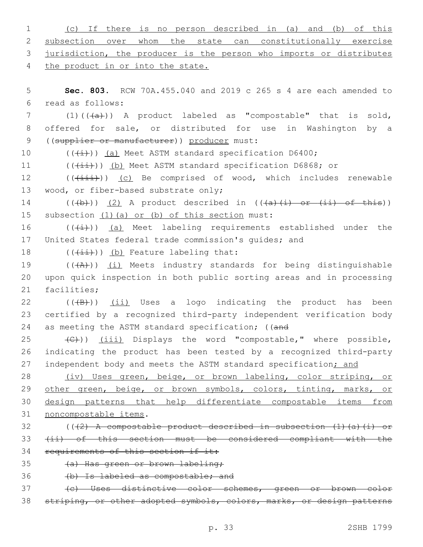| 1             | If there is no person described in (a) and (b)<br>of this<br>(C)        |
|---------------|-------------------------------------------------------------------------|
| 2             | subsection over whom the state can constitutionally exercise            |
| 3             | jurisdiction, the producer is the person who imports or distributes     |
| 4             | the product in or into the state.                                       |
|               |                                                                         |
| 5             | <b>Sec. 803.</b> RCW 70A.455.040 and 2019 c 265 s 4 are each amended to |
| 6             | read as follows:                                                        |
| 7             | $(1)$ $((+\alpha)^2)$ A product labeled as "compostable" that is sold,  |
| 8             | offered for sale, or distributed for use in Washington by a             |
| $\mathcal{G}$ | ((supplier or manufacturer)) producer must:                             |
| 10            | $((+i))$ (a) Meet ASTM standard specification D6400;                    |
| 11            | $((+i+))$ (b) Meet ASTM standard specification D6868; or                |
| 12            | $((+i+i))$ (c) Be comprised of wood, which includes renewable           |
| 13            | wood, or fiber-based substrate only;                                    |
| 14            | $((+b))$ (2) A product described in $((+a)+(i)$ or $(ii)$ of this))     |
| 15            | subsection (1) (a) or (b) of this section must:                         |
| 16            | $((+i))$ (a) Meet labeling requirements established under the           |
| 17            | United States federal trade commission's quides; and                    |
| 18            | $((+i+))$ (b) Feature labeling that:                                    |
| 19            | $((+A))$ (i) Meets industry standards for being distinguishable         |
| 20            | upon quick inspection in both public sorting areas and in processing    |
| 21            | facilities;                                                             |
| 22            | $((+B))$ (ii) Uses a logo indicating the product has<br>been            |
| 23            | certified by a recognized third-party independent verification body     |
| 24            | as meeting the ASTM standard specification; ((and                       |
| 25            | (C))) (iii) Displays the word "compostable," where possible,            |
| 26            | indicating the product has been tested by a recognized third-party      |
| 27            | independent body and meets the ASTM standard specification; and         |
| 28            | (iv) Uses green, beige, or brown labeling, color striping, or           |
| 29            | other green, beige, or brown symbols, colors, tinting, marks, or        |
| 30            | design patterns that help differentiate compostable items from          |
| 31            | noncompostable items.                                                   |
| 32            | $((2)$ A compostable product described in subsection $(1)$ (a) (i) or   |
| 33            | (ii) of this section must be considered compliant with the              |
| 34            | requirements of this section if it:                                     |
| 35            | (a) Has green or brown labeling;                                        |
| 36            | (b) Is labeled as compostable; and                                      |
| 37            | (c) Uses distinctive color schemes, green or brown color                |
| 38            | striping, or other adopted symbols, colors, marks, or design patterns   |
|               |                                                                         |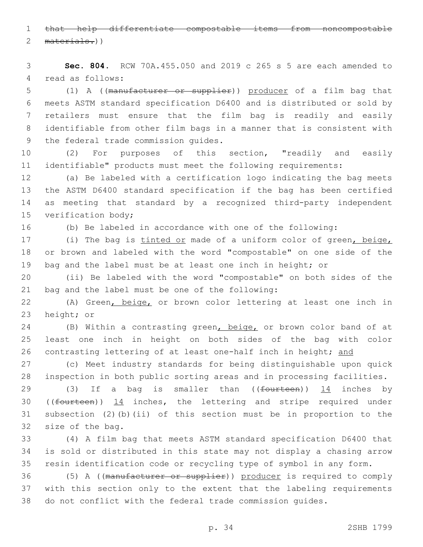that help differentiate compostable items from noncompostable 2 materials.))

 **Sec. 804.** RCW 70A.455.050 and 2019 c 265 s 5 are each amended to 4 read as follows:

 (1) A ((manufacturer or supplier)) producer of a film bag that meets ASTM standard specification D6400 and is distributed or sold by retailers must ensure that the film bag is readily and easily identifiable from other film bags in a manner that is consistent with 9 the federal trade commission quides.

 (2) For purposes of this section, "readily and easily identifiable" products must meet the following requirements:

 (a) Be labeled with a certification logo indicating the bag meets the ASTM D6400 standard specification if the bag has been certified as meeting that standard by a recognized third-party independent 15 verification body;

(b) Be labeled in accordance with one of the following:

17 (i) The bag is tinted or made of a uniform color of green, beige, or brown and labeled with the word "compostable" on one side of the bag and the label must be at least one inch in height; or

 (ii) Be labeled with the word "compostable" on both sides of the 21 bag and the label must be one of the following:

 (A) Green, beige, or brown color lettering at least one inch in 23 height; or

24 (B) Within a contrasting green, beige, or brown color band of at least one inch in height on both sides of the bag with color 26 contrasting lettering of at least one-half inch in height; and

 (c) Meet industry standards for being distinguishable upon quick inspection in both public sorting areas and in processing facilities.

29 (3) If a bag is smaller than  $($  (fourteen))  $\frac{14}{11}$  inches by ((fourteen)) 14 inches, the lettering and stripe required under subsection (2)(b)(ii) of this section must be in proportion to the 32 size of the bag.

 (4) A film bag that meets ASTM standard specification D6400 that is sold or distributed in this state may not display a chasing arrow resin identification code or recycling type of symbol in any form.

 (5) A ((manufacturer or supplier)) producer is required to comply with this section only to the extent that the labeling requirements do not conflict with the federal trade commission guides.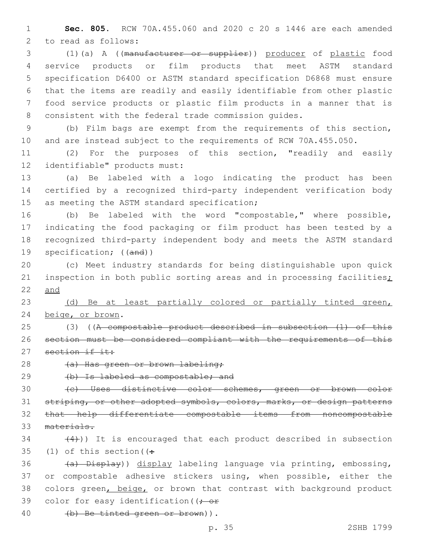**Sec. 805.** RCW 70A.455.060 and 2020 c 20 s 1446 are each amended 2 to read as follows:

 (1)(a) A ((manufacturer or supplier)) producer of plastic food service products or film products that meet ASTM standard specification D6400 or ASTM standard specification D6868 must ensure that the items are readily and easily identifiable from other plastic food service products or plastic film products in a manner that is consistent with the federal trade commission guides.

 (b) Film bags are exempt from the requirements of this section, and are instead subject to the requirements of RCW 70A.455.050.

 (2) For the purposes of this section, "readily and easily 12 identifiable" products must:

 (a) Be labeled with a logo indicating the product has been certified by a recognized third-party independent verification body 15 as meeting the ASTM standard specification;

 (b) Be labeled with the word "compostable," where possible, indicating the food packaging or film product has been tested by a recognized third-party independent body and meets the ASTM standard specification; ((and))

 (c) Meet industry standards for being distinguishable upon quick 21 inspection in both public sorting areas and in processing facilities; and

23 (d) Be at least partially colored or partially tinted green, 24 beige, or brown.

 (3) ((A compostable product described in subsection (1) of this section must be considered compliant with the requirements of this 27 section if it:

28 (a) Has green or brown labeling;

(b) Is labeled as compostable; and

 (c) Uses distinctive color schemes, green or brown color 31 striping, or other adopted symbols, colors, marks, or design patterns that help differentiate compostable items from noncompostable materials.

 $(4)$ )) It is encouraged that each product described in subsection 35 (1) of this section ( $($ .

36 (a) Display)) display labeling language via printing, embossing, or compostable adhesive stickers using, when possible, either the 38 colors green, beige, or brown that contrast with background product 39 color for easy identification ( $\rightarrow$  or

40 (b) Be tinted green or brown)).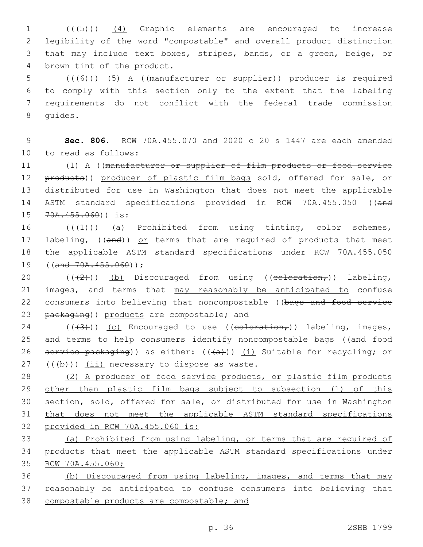1 (((5)) (4) Graphic elements are encouraged to increase 2 legibility of the word "compostable" and overall product distinction 3 that may include text boxes, stripes, bands, or a green, beige, or 4 brown tint of the product.

 (((6))) (5) A ((manufacturer or supplier)) producer is required to comply with this section only to the extent that the labeling requirements do not conflict with the federal trade commission 8 quides.

9 **Sec. 806.** RCW 70A.455.070 and 2020 c 20 s 1447 are each amended 10 to read as follows:

11 (1) A ((manufacturer or supplier of film products or food service 12 products)) producer of plastic film bags sold, offered for sale, or 13 distributed for use in Washington that does not meet the applicable 14 ASTM standard specifications provided in RCW 70A.455.050 ((and 15 70A.455.060)) is:

16 (((4))) (a) Prohibited from using tinting, color schemes, 17 labeling, ((and)) or terms that are required of products that meet 18 the applicable ASTM standard specifications under RCW 70A.455.050 19 ((and 70A.455.060));

20  $((+2))$  (b) Discouraged from using (( $\epsilon$ oloration,)) labeling, 21 images, and terms that may reasonably be anticipated to confuse 22 consumers into believing that noncompostable ((bags and food service 23 packaging)) products are compostable; and

24 ( $(\frac{43}{})$ ) (c) Encouraged to use ( $\frac{1}{100}$ ) labeling, images, 25 and terms to help consumers identify noncompostable bags ((and food 26 service packaging)) as either:  $((+a))$  (i) Suitable for recycling; or  $(1 + b)$ ) (ii) necessary to dispose as waste.

 (2) A producer of food service products, or plastic film products 29 other than plastic film bags subject to subsection (1) of this section, sold, offered for sale, or distributed for use in Washington that does not meet the applicable ASTM standard specifications provided in RCW 70A.455.060 is:

33 (a) Prohibited from using labeling, or terms that are required of 34 products that meet the applicable ASTM standard specifications under 35 RCW 70A.455.060;

36 (b) Discouraged from using labeling, images, and terms that may 37 reasonably be anticipated to confuse consumers into believing that 38 compostable products are compostable; and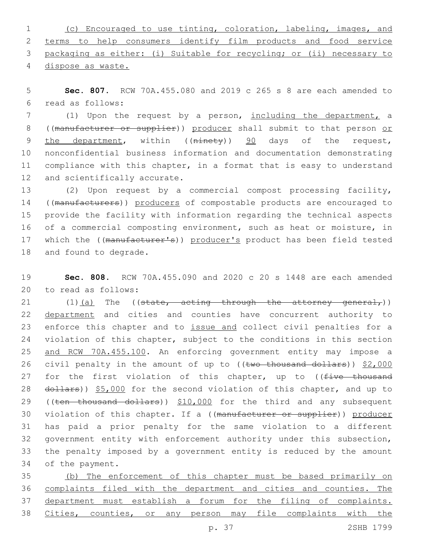(c) Encouraged to use tinting, coloration, labeling, images, and terms to help consumers identify film products and food service packaging as either: (i) Suitable for recycling; or (ii) necessary to dispose as waste.

5 **Sec. 807.** RCW 70A.455.080 and 2019 c 265 s 8 are each amended to read as follows:6

7 (1) Upon the request by a person, including the department, a 8 ((manufacturer or supplier)) producer shall submit to that person or 9 the department, within ((ninety)) 90 days of the request, 10 nonconfidential business information and documentation demonstrating 11 compliance with this chapter, in a format that is easy to understand 12 and scientifically accurate.

13 (2) Upon request by a commercial compost processing facility, 14 ((manufacturers)) producers of compostable products are encouraged to 15 provide the facility with information regarding the technical aspects 16 of a commercial composting environment, such as heat or moisture, in 17 which the ((manufacturer's)) producer's product has been field tested 18 and found to degrade.

19 **Sec. 808.** RCW 70A.455.090 and 2020 c 20 s 1448 are each amended 20 to read as follows:

21  $(1)$   $(a)$  The ((state, acting through the attorney general,)) 22 department and cities and counties have concurrent authority to 23 enforce this chapter and to issue and collect civil penalties for a 24 violation of this chapter, subject to the conditions in this section 25 and RCW 70A.455.100. An enforcing government entity may impose a 26 civil penalty in the amount of up to ((two thousand dollars)) \$2,000 27 for the first violation of this chapter, up to ((five thousand 28 dollars)) \$5,000 for the second violation of this chapter, and up to 29 ((ten thousand dollars)) \$10,000 for the third and any subsequent 30 violation of this chapter. If a ((manufacturer or supplier)) producer 31 has paid a prior penalty for the same violation to a different 32 government entity with enforcement authority under this subsection, 33 the penalty imposed by a government entity is reduced by the amount 34 of the payment.

 (b) The enforcement of this chapter must be based primarily on complaints filed with the department and cities and counties. The department must establish a forum for the filing of complaints. Cities, counties, or any person may file complaints with the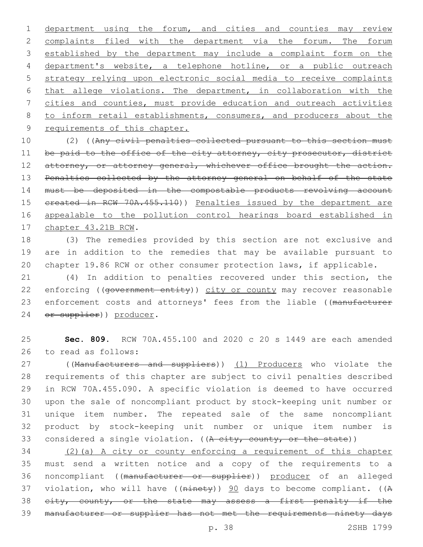department using the forum, and cities and counties may review complaints filed with the department via the forum. The forum established by the department may include a complaint form on the department's website, a telephone hotline, or a public outreach strategy relying upon electronic social media to receive complaints that allege violations. The department, in collaboration with the cities and counties, must provide education and outreach activities 8 to inform retail establishments, consumers, and producers about the 9 requirements of this chapter.

10 (2) ((Any civil penalties collected pursuant to this section must 11 be paid to the office of the city attorney, city prosecutor, district 12 attorney, or attorney general, whichever office brought the action. 13 Penalties collected by the attorney general on behalf of the state 14 must be deposited in the compostable products revolving account 15 created in RCW 70A.455.110)) Penalties issued by the department are 16 appealable to the pollution control hearings board established in 17 chapter 43.21B RCW.

18 (3) The remedies provided by this section are not exclusive and 19 are in addition to the remedies that may be available pursuant to 20 chapter 19.86 RCW or other consumer protection laws, if applicable.

21 (4) In addition to penalties recovered under this section, the 22 enforcing ((government entity)) city or county may recover reasonable 23 enforcement costs and attorneys' fees from the liable ((manufacturer 24 or supplier)) producer.

25 **Sec. 809.** RCW 70A.455.100 and 2020 c 20 s 1449 are each amended 26 to read as follows:

27 ((Manufacturers and suppliers)) (1) Producers who violate the requirements of this chapter are subject to civil penalties described in RCW 70A.455.090. A specific violation is deemed to have occurred upon the sale of noncompliant product by stock-keeping unit number or unique item number. The repeated sale of the same noncompliant product by stock-keeping unit number or unique item number is 33 considered a single violation. ( $(A<sub>city</sub>, count, or the state)$ )

 (2)(a) A city or county enforcing a requirement of this chapter must send a written notice and a copy of the requirements to a noncompliant ((manufacturer or supplier)) producer of an alleged 37 violation, who will have ((ninety)) 90 days to become compliant. ((A 38 eity, county, or the state may assess a first penalty if the manufacturer or supplier has not met the requirements ninety days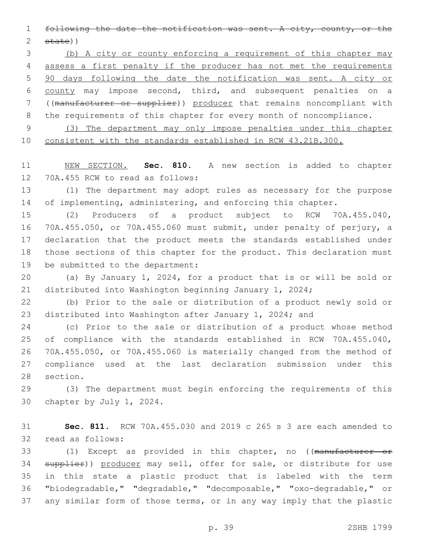following the date the notification was sent. A city, county, or the state))

 (b) A city or county enforcing a requirement of this chapter may assess a first penalty if the producer has not met the requirements 90 days following the date the notification was sent. A city or county may impose second, third, and subsequent penalties on a ((manufacturer or supplier)) producer that remains noncompliant with 8 the requirements of this chapter for every month of noncompliance.

 (3) The department may only impose penalties under this chapter consistent with the standards established in RCW 43.21B.300.

 NEW SECTION. **Sec. 810.** A new section is added to chapter 12 70A.455 RCW to read as follows:

 (1) The department may adopt rules as necessary for the purpose 14 of implementing, administering, and enforcing this chapter.

 (2) Producers of a product subject to RCW 70A.455.040, 70A.455.050, or 70A.455.060 must submit, under penalty of perjury, a declaration that the product meets the standards established under those sections of this chapter for the product. This declaration must 19 be submitted to the department:

 (a) By January 1, 2024, for a product that is or will be sold or distributed into Washington beginning January 1, 2024;

 (b) Prior to the sale or distribution of a product newly sold or distributed into Washington after January 1, 2024; and

 (c) Prior to the sale or distribution of a product whose method of compliance with the standards established in RCW 70A.455.040, 70A.455.050, or 70A.455.060 is materially changed from the method of compliance used at the last declaration submission under this 28 section.

 (3) The department must begin enforcing the requirements of this 30 chapter by July 1, 2024.

 **Sec. 811.** RCW 70A.455.030 and 2019 c 265 s 3 are each amended to 32 read as follows:

 (1) Except as provided in this chapter, no ((manufacturer or 34 supplier)) producer may sell, offer for sale, or distribute for use in this state a plastic product that is labeled with the term "biodegradable," "degradable," "decomposable," "oxo-degradable," or any similar form of those terms, or in any way imply that the plastic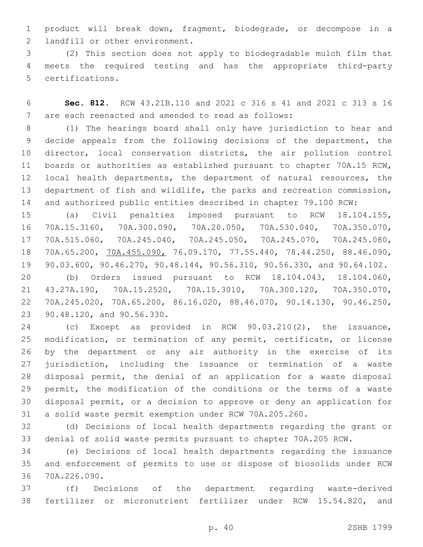product will break down, fragment, biodegrade, or decompose in a 2 landfill or other environment.

 (2) This section does not apply to biodegradable mulch film that meets the required testing and has the appropriate third-party 5 certifications.

 **Sec. 812.** RCW 43.21B.110 and 2021 c 316 s 41 and 2021 c 313 s 16 7 are each reenacted and amended to read as follows:

 (1) The hearings board shall only have jurisdiction to hear and decide appeals from the following decisions of the department, the director, local conservation districts, the air pollution control boards or authorities as established pursuant to chapter 70A.15 RCW, local health departments, the department of natural resources, the department of fish and wildlife, the parks and recreation commission, and authorized public entities described in chapter 79.100 RCW:

 (a) Civil penalties imposed pursuant to RCW 18.104.155, 70A.15.3160, 70A.300.090, 70A.20.050, 70A.530.040, 70A.350.070, 70A.515.060, 70A.245.040, 70A.245.050, 70A.245.070, 70A.245.080, 70A.65.200, 70A.455.090, 76.09.170, 77.55.440, 78.44.250, 88.46.090, 90.03.600, 90.46.270, 90.48.144, 90.56.310, 90.56.330, and 90.64.102.

 (b) Orders issued pursuant to RCW 18.104.043, 18.104.060, 43.27A.190, 70A.15.2520, 70A.15.3010, 70A.300.120, 70A.350.070, 70A.245.020, 70A.65.200, 86.16.020, 88.46.070, 90.14.130, 90.46.250, 23 90.48.120, and 90.56.330.

 (c) Except as provided in RCW 90.03.210(2), the issuance, modification, or termination of any permit, certificate, or license by the department or any air authority in the exercise of its jurisdiction, including the issuance or termination of a waste disposal permit, the denial of an application for a waste disposal permit, the modification of the conditions or the terms of a waste disposal permit, or a decision to approve or deny an application for a solid waste permit exemption under RCW 70A.205.260.

 (d) Decisions of local health departments regarding the grant or denial of solid waste permits pursuant to chapter 70A.205 RCW.

 (e) Decisions of local health departments regarding the issuance and enforcement of permits to use or dispose of biosolids under RCW 70A.226.090.36

 (f) Decisions of the department regarding waste-derived fertilizer or micronutrient fertilizer under RCW 15.54.820, and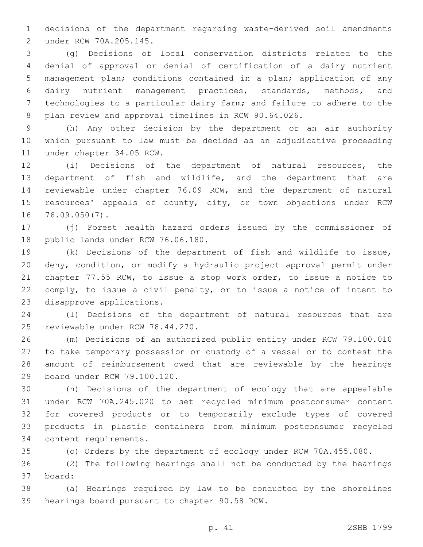decisions of the department regarding waste-derived soil amendments under RCW 70A.205.145.2

 (g) Decisions of local conservation districts related to the denial of approval or denial of certification of a dairy nutrient management plan; conditions contained in a plan; application of any dairy nutrient management practices, standards, methods, and technologies to a particular dairy farm; and failure to adhere to the plan review and approval timelines in RCW 90.64.026.

 (h) Any other decision by the department or an air authority which pursuant to law must be decided as an adjudicative proceeding 11 under chapter 34.05 RCW.

 (i) Decisions of the department of natural resources, the department of fish and wildlife, and the department that are reviewable under chapter 76.09 RCW, and the department of natural 15 resources' appeals of county, city, or town objections under RCW 16 76.09.050(7).

 (j) Forest health hazard orders issued by the commissioner of 18 public lands under RCW 76.06.180.

 (k) Decisions of the department of fish and wildlife to issue, deny, condition, or modify a hydraulic project approval permit under chapter 77.55 RCW, to issue a stop work order, to issue a notice to comply, to issue a civil penalty, or to issue a notice of intent to 23 disapprove applications.

 (l) Decisions of the department of natural resources that are 25 reviewable under RCW 78.44.270.

 (m) Decisions of an authorized public entity under RCW 79.100.010 to take temporary possession or custody of a vessel or to contest the amount of reimbursement owed that are reviewable by the hearings 29 board under RCW 79.100.120.

 (n) Decisions of the department of ecology that are appealable under RCW 70A.245.020 to set recycled minimum postconsumer content for covered products or to temporarily exclude types of covered products in plastic containers from minimum postconsumer recycled 34 content requirements.

(o) Orders by the department of ecology under RCW 70A.455.080.

 (2) The following hearings shall not be conducted by the hearings board:37

 (a) Hearings required by law to be conducted by the shorelines 39 hearings board pursuant to chapter 90.58 RCW.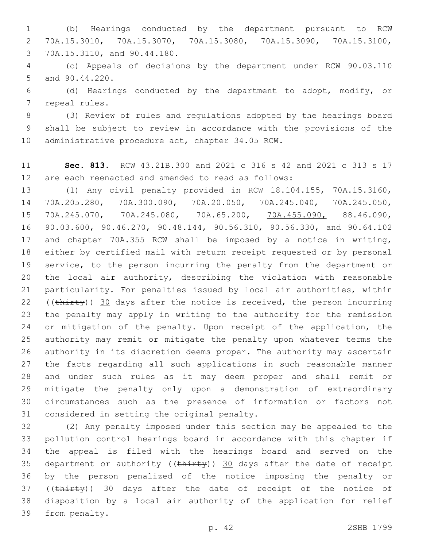(b) Hearings conducted by the department pursuant to RCW 70A.15.3010, 70A.15.3070, 70A.15.3080, 70A.15.3090, 70A.15.3100, 70A.15.3110, and 90.44.180.3

 (c) Appeals of decisions by the department under RCW 90.03.110 5 and 90.44.220.

 (d) Hearings conducted by the department to adopt, modify, or 7 repeal rules.

 (3) Review of rules and regulations adopted by the hearings board shall be subject to review in accordance with the provisions of the 10 administrative procedure act, chapter 34.05 RCW.

 **Sec. 813.** RCW 43.21B.300 and 2021 c 316 s 42 and 2021 c 313 s 17 are each reenacted and amended to read as follows:

 (1) Any civil penalty provided in RCW 18.104.155, 70A.15.3160, 70A.205.280, 70A.300.090, 70A.20.050, 70A.245.040, 70A.245.050, 70A.245.070, 70A.245.080, 70A.65.200, 70A.455.090, 88.46.090, 90.03.600, 90.46.270, 90.48.144, 90.56.310, 90.56.330, and 90.64.102 and chapter 70A.355 RCW shall be imposed by a notice in writing, either by certified mail with return receipt requested or by personal service, to the person incurring the penalty from the department or the local air authority, describing the violation with reasonable particularity. For penalties issued by local air authorities, within 22 (( $\text{thirty}$ )) 30 days after the notice is received, the person incurring the penalty may apply in writing to the authority for the remission 24 or mitigation of the penalty. Upon receipt of the application, the authority may remit or mitigate the penalty upon whatever terms the authority in its discretion deems proper. The authority may ascertain the facts regarding all such applications in such reasonable manner and under such rules as it may deem proper and shall remit or mitigate the penalty only upon a demonstration of extraordinary circumstances such as the presence of information or factors not 31 considered in setting the original penalty.

 (2) Any penalty imposed under this section may be appealed to the pollution control hearings board in accordance with this chapter if the appeal is filed with the hearings board and served on the 35 department or authority ( $(\text{thirty})$ ) 30 days after the date of receipt by the person penalized of the notice imposing the penalty or 37 ((thirty)) 30 days after the date of receipt of the notice of disposition by a local air authority of the application for relief 39 from penalty.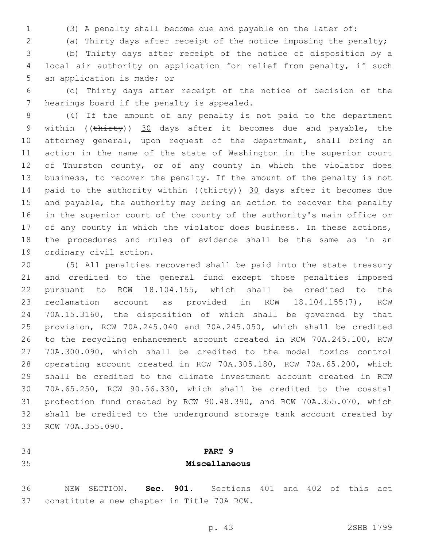(3) A penalty shall become due and payable on the later of:

(a) Thirty days after receipt of the notice imposing the penalty;

 (b) Thirty days after receipt of the notice of disposition by a local air authority on application for relief from penalty, if such 5 an application is made; or

 (c) Thirty days after receipt of the notice of decision of the 7 hearings board if the penalty is appealed.

 (4) If the amount of any penalty is not paid to the department 9 within ((thirty)) 30 days after it becomes due and payable, the attorney general, upon request of the department, shall bring an action in the name of the state of Washington in the superior court 12 of Thurston county, or of any county in which the violator does business, to recover the penalty. If the amount of the penalty is not 14 paid to the authority within  $((\text{thirty}))$  30 days after it becomes due and payable, the authority may bring an action to recover the penalty in the superior court of the county of the authority's main office or 17 of any county in which the violator does business. In these actions, the procedures and rules of evidence shall be the same as in an 19 ordinary civil action.

 (5) All penalties recovered shall be paid into the state treasury and credited to the general fund except those penalties imposed pursuant to RCW 18.104.155, which shall be credited to the reclamation account as provided in RCW 18.104.155(7), RCW 70A.15.3160, the disposition of which shall be governed by that provision, RCW 70A.245.040 and 70A.245.050, which shall be credited to the recycling enhancement account created in RCW 70A.245.100, RCW 70A.300.090, which shall be credited to the model toxics control operating account created in RCW 70A.305.180, RCW 70A.65.200, which shall be credited to the climate investment account created in RCW 70A.65.250, RCW 90.56.330, which shall be credited to the coastal protection fund created by RCW 90.48.390, and RCW 70A.355.070, which shall be credited to the underground storage tank account created by 33 RCW 70A.355.090.

## **PART 9 Miscellaneous**

 NEW SECTION. **Sec. 901.** Sections 401 and 402 of this act constitute a new chapter in Title 70A RCW.